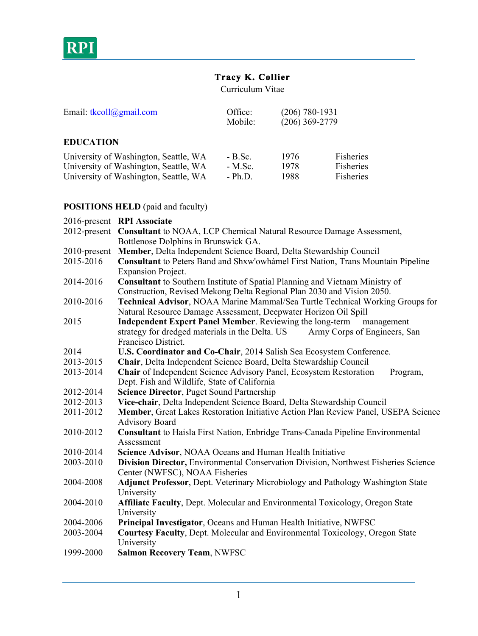

# **Tracy K. Collier**

Curriculum Vitae

| Email: $tkcoll(a)$ gmail.com                                                   | Office:<br>Mobile:    | $(206) 780 - 1931$<br>$(206)$ 369-2779 |                        |
|--------------------------------------------------------------------------------|-----------------------|----------------------------------------|------------------------|
| <b>EDUCATION</b>                                                               |                       |                                        |                        |
| University of Washington, Seattle, WA<br>University of Washington, Seattle, WA | $- B.Sc.$<br>$-M.Sc.$ | 1976<br>1978                           | Fisheries<br>Fisheries |
| University of Washington, Seattle, WA                                          | $- Ph.D.$             | 1988                                   | Fisheries              |

# **POSITIONS HELD** (paid and faculty)

|                 | 2016-present RPI Associate                                                                                                                                    |  |  |  |
|-----------------|---------------------------------------------------------------------------------------------------------------------------------------------------------------|--|--|--|
| $2012$ -present | <b>Consultant</b> to NOAA, LCP Chemical Natural Resource Damage Assessment,                                                                                   |  |  |  |
|                 | Bottlenose Dolphins in Brunswick GA.                                                                                                                          |  |  |  |
| 2010-present    | Member, Delta Independent Science Board, Delta Stewardship Council                                                                                            |  |  |  |
| 2015-2016       | Consultant to Peters Band and Shxw'owhámel First Nation, Trans Mountain Pipeline                                                                              |  |  |  |
|                 | <b>Expansion Project.</b>                                                                                                                                     |  |  |  |
| 2014-2016       | <b>Consultant</b> to Southern Institute of Spatial Planning and Vietnam Ministry of<br>Construction, Revised Mekong Delta Regional Plan 2030 and Vision 2050. |  |  |  |
| 2010-2016       | Technical Advisor, NOAA Marine Mammal/Sea Turtle Technical Working Groups for                                                                                 |  |  |  |
|                 | Natural Resource Damage Assessment, Deepwater Horizon Oil Spill                                                                                               |  |  |  |
| 2015            | <b>Independent Expert Panel Member</b> . Reviewing the long-term<br>management                                                                                |  |  |  |
|                 | strategy for dredged materials in the Delta. US Army Corps of Engineers, San                                                                                  |  |  |  |
|                 | Francisco District.                                                                                                                                           |  |  |  |
| 2014            | U.S. Coordinator and Co-Chair, 2014 Salish Sea Ecosystem Conference.                                                                                          |  |  |  |
| 2013-2015       | Chair, Delta Independent Science Board, Delta Stewardship Council                                                                                             |  |  |  |
| 2013-2014       | Chair of Independent Science Advisory Panel, Ecosystem Restoration<br>Program,                                                                                |  |  |  |
|                 | Dept. Fish and Wildlife, State of California                                                                                                                  |  |  |  |
| 2012-2014       | Science Director, Puget Sound Partnership                                                                                                                     |  |  |  |
| 2012-2013       | Vice-chair, Delta Independent Science Board, Delta Stewardship Council                                                                                        |  |  |  |
| 2011-2012       | Member, Great Lakes Restoration Initiative Action Plan Review Panel, USEPA Science                                                                            |  |  |  |
|                 | <b>Advisory Board</b>                                                                                                                                         |  |  |  |
| 2010-2012       | Consultant to Haisla First Nation, Enbridge Trans-Canada Pipeline Environmental                                                                               |  |  |  |
|                 | Assessment                                                                                                                                                    |  |  |  |
| 2010-2014       | Science Advisor, NOAA Oceans and Human Health Initiative                                                                                                      |  |  |  |
| 2003-2010       | Division Director, Environmental Conservation Division, Northwest Fisheries Science                                                                           |  |  |  |
|                 | Center (NWFSC), NOAA Fisheries                                                                                                                                |  |  |  |
| 2004-2008       | <b>Adjunct Professor</b> , Dept. Veterinary Microbiology and Pathology Washington State                                                                       |  |  |  |
|                 | University                                                                                                                                                    |  |  |  |
| 2004-2010       | Affiliate Faculty, Dept. Molecular and Environmental Toxicology, Oregon State                                                                                 |  |  |  |
|                 | University                                                                                                                                                    |  |  |  |
| 2004-2006       | Principal Investigator, Oceans and Human Health Initiative, NWFSC                                                                                             |  |  |  |
| 2003-2004       | Courtesy Faculty, Dept. Molecular and Environmental Toxicology, Oregon State                                                                                  |  |  |  |
|                 | University                                                                                                                                                    |  |  |  |
| 1999-2000       | <b>Salmon Recovery Team, NWFSC</b>                                                                                                                            |  |  |  |
|                 |                                                                                                                                                               |  |  |  |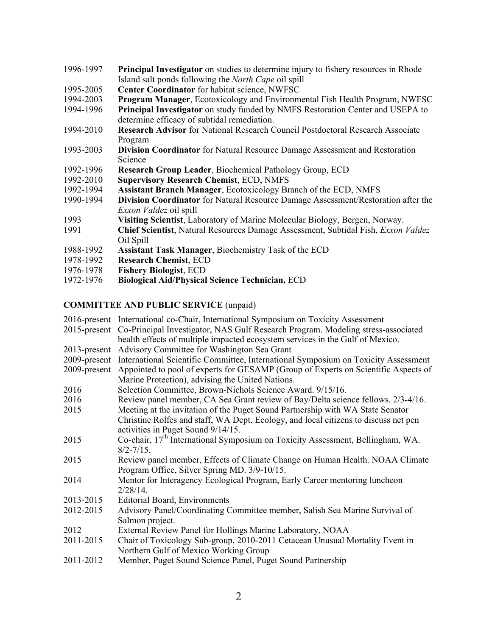- 1996-1997 **Principal Investigator** on studies to determine injury to fishery resources in Rhode Island salt ponds following the *North Cape* oil spill
- 1995-2005 **Center Coordinator** for habitat science, NWFSC
- 1994-2003 **Program Manager**, Ecotoxicology and Environmental Fish Health Program, NWFSC
- 1994-1996 **Principal Investigator** on study funded by NMFS Restoration Center and USEPA to determine efficacy of subtidal remediation.
- 1994-2010 **Research Advisor** for National Research Council Postdoctoral Research Associate Program
- 1993-2003 **Division Coordinator** for Natural Resource Damage Assessment and Restoration Science
- 1992-1996 **Research Group Leader**, Biochemical Pathology Group, ECD
- 1992-2010 **Supervisory Research Chemist**, ECD, NMFS
- 1992-1994 **Assistant Branch Manager**, Ecotoxicology Branch of the ECD, NMFS
- 1990-1994 **Division Coordinator** for Natural Resource Damage Assessment/Restoration after the *Exxon Valdez* oil spill
- 1993 **Visiting Scientist**, Laboratory of Marine Molecular Biology, Bergen, Norway.
- 1991 **Chief Scientist**, Natural Resources Damage Assessment, Subtidal Fish, *Exxon Valdez* Oil Spill
- 1988-1992 **Assistant Task Manager**, Biochemistry Task of the ECD
- 1978-1992 **Research Chemist**, ECD
- 1976-1978 **Fishery Biologist**, ECD
- 1972-1976 **Biological Aid/Physical Science Technician,** ECD

### **COMMITTEE AND PUBLIC SERVICE** (unpaid)

|           | 2016-present International co-Chair, International Symposium on Toxicity Assessment<br>2015-present Co-Principal Investigator, NAS Gulf Research Program. Modeling stress-associated<br>health effects of multiple impacted ecosystem services in the Gulf of Mexico. |
|-----------|-----------------------------------------------------------------------------------------------------------------------------------------------------------------------------------------------------------------------------------------------------------------------|
|           | 2013-present Advisory Committee for Washington Sea Grant                                                                                                                                                                                                              |
|           | 2009-present International Scientific Committee, International Symposium on Toxicity Assessment                                                                                                                                                                       |
|           | 2009-present Appointed to pool of experts for GESAMP (Group of Experts on Scientific Aspects of<br>Marine Protection), advising the United Nations.                                                                                                                   |
| 2016      | Selection Committee, Brown-Nichols Science Award. 9/15/16.                                                                                                                                                                                                            |
| 2016      | Review panel member, CA Sea Grant review of Bay/Delta science fellows. 2/3-4/16.                                                                                                                                                                                      |
| 2015      | Meeting at the invitation of the Puget Sound Partnership with WA State Senator                                                                                                                                                                                        |
|           | Christine Rolfes and staff, WA Dept. Ecology, and local citizens to discuss net pen                                                                                                                                                                                   |
|           | activities in Puget Sound 9/14/15.                                                                                                                                                                                                                                    |
| 2015      | Co-chair, 17 <sup>th</sup> International Symposium on Toxicity Assessment, Bellingham, WA.<br>$8/2 - 7/15$ .                                                                                                                                                          |
| 2015      | Review panel member, Effects of Climate Change on Human Health. NOAA Climate<br>Program Office, Silver Spring MD. 3/9-10/15.                                                                                                                                          |
| 2014      | Mentor for Interagency Ecological Program, Early Career mentoring luncheon                                                                                                                                                                                            |
|           | $2/28/14$ .                                                                                                                                                                                                                                                           |
| 2013-2015 | <b>Editorial Board, Environments</b>                                                                                                                                                                                                                                  |
| 2012-2015 | Advisory Panel/Coordinating Committee member, Salish Sea Marine Survival of                                                                                                                                                                                           |
|           | Salmon project.                                                                                                                                                                                                                                                       |
| 2012      | External Review Panel for Hollings Marine Laboratory, NOAA                                                                                                                                                                                                            |
| 2011-2015 | Chair of Toxicology Sub-group, 2010-2011 Cetacean Unusual Mortality Event in                                                                                                                                                                                          |
|           | Northern Gulf of Mexico Working Group                                                                                                                                                                                                                                 |
| 2011-2012 | Member, Puget Sound Science Panel, Puget Sound Partnership                                                                                                                                                                                                            |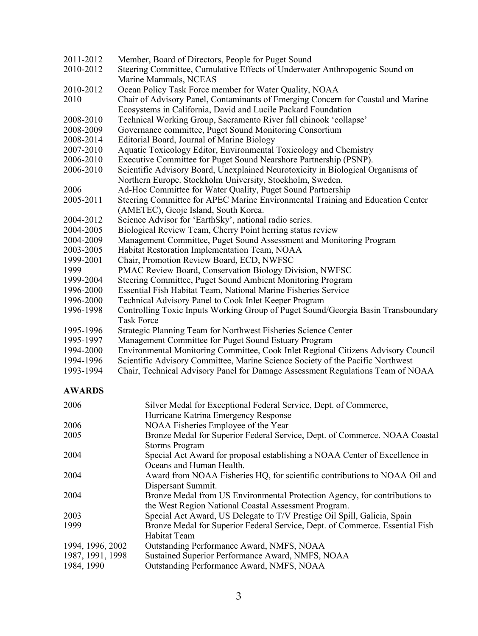| 2011-2012 | Member, Board of Directors, People for Puget Sound                                |  |
|-----------|-----------------------------------------------------------------------------------|--|
| 2010-2012 | Steering Committee, Cumulative Effects of Underwater Anthropogenic Sound on       |  |
|           | Marine Mammals, NCEAS                                                             |  |
| 2010-2012 | Ocean Policy Task Force member for Water Quality, NOAA                            |  |
| 2010      | Chair of Advisory Panel, Contaminants of Emerging Concern for Coastal and Marine  |  |
|           | Ecosystems in California, David and Lucile Packard Foundation                     |  |
| 2008-2010 | Technical Working Group, Sacramento River fall chinook 'collapse'                 |  |
| 2008-2009 | Governance committee, Puget Sound Monitoring Consortium                           |  |
| 2008-2014 | Editorial Board, Journal of Marine Biology                                        |  |
| 2007-2010 | Aquatic Toxicology Editor, Environmental Toxicology and Chemistry                 |  |
| 2006-2010 | Executive Committee for Puget Sound Nearshore Partnership (PSNP).                 |  |
| 2006-2010 | Scientific Advisory Board, Unexplained Neurotoxicity in Biological Organisms of   |  |
|           | Northern Europe. Stockholm University, Stockholm, Sweden.                         |  |
| 2006      | Ad-Hoc Committee for Water Quality, Puget Sound Partnership                       |  |
| 2005-2011 | Steering Committee for APEC Marine Environmental Training and Education Center    |  |
|           | (AMETEC), Geoje Island, South Korea.                                              |  |
| 2004-2012 | Science Advisor for 'EarthSky', national radio series.                            |  |
| 2004-2005 | Biological Review Team, Cherry Point herring status review                        |  |
| 2004-2009 | Management Committee, Puget Sound Assessment and Monitoring Program               |  |
| 2003-2005 | Habitat Restoration Implementation Team, NOAA                                     |  |
| 1999-2001 | Chair, Promotion Review Board, ECD, NWFSC                                         |  |
| 1999      | PMAC Review Board, Conservation Biology Division, NWFSC                           |  |
| 1999-2004 | Steering Committee, Puget Sound Ambient Monitoring Program                        |  |
| 1996-2000 | Essential Fish Habitat Team, National Marine Fisheries Service                    |  |
| 1996-2000 | Technical Advisory Panel to Cook Inlet Keeper Program                             |  |
| 1996-1998 | Controlling Toxic Inputs Working Group of Puget Sound/Georgia Basin Transboundary |  |
|           | <b>Task Force</b>                                                                 |  |
| 1995-1996 | Strategic Planning Team for Northwest Fisheries Science Center                    |  |
| 1995-1997 | Management Committee for Puget Sound Estuary Program                              |  |
| 1994-2000 | Environmental Monitoring Committee, Cook Inlet Regional Citizens Advisory Council |  |
| 1994-1996 | Scientific Advisory Committee, Marine Science Society of the Pacific Northwest    |  |
| 1993-1994 | Chair, Technical Advisory Panel for Damage Assessment Regulations Team of NOAA    |  |

## **AWARDS**

| 2006             | Silver Medal for Exceptional Federal Service, Dept. of Commerce,             |
|------------------|------------------------------------------------------------------------------|
|                  | Hurricane Katrina Emergency Response                                         |
| 2006             | NOAA Fisheries Employee of the Year                                          |
| 2005             | Bronze Medal for Superior Federal Service, Dept. of Commerce. NOAA Coastal   |
|                  | <b>Storms Program</b>                                                        |
| 2004             | Special Act Award for proposal establishing a NOAA Center of Excellence in   |
|                  | Oceans and Human Health.                                                     |
| 2004             | Award from NOAA Fisheries HQ, for scientific contributions to NOAA Oil and   |
|                  | Dispersant Summit.                                                           |
| 2004             | Bronze Medal from US Environmental Protection Agency, for contributions to   |
|                  | the West Region National Coastal Assessment Program.                         |
| 2003             | Special Act Award, US Delegate to T/V Prestige Oil Spill, Galicia, Spain     |
| 1999             | Bronze Medal for Superior Federal Service, Dept. of Commerce. Essential Fish |
|                  | <b>Habitat Team</b>                                                          |
| 1994, 1996, 2002 | Outstanding Performance Award, NMFS, NOAA                                    |
| 1987, 1991, 1998 | Sustained Superior Performance Award, NMFS, NOAA                             |
| 1984, 1990       | Outstanding Performance Award, NMFS, NOAA                                    |
|                  |                                                                              |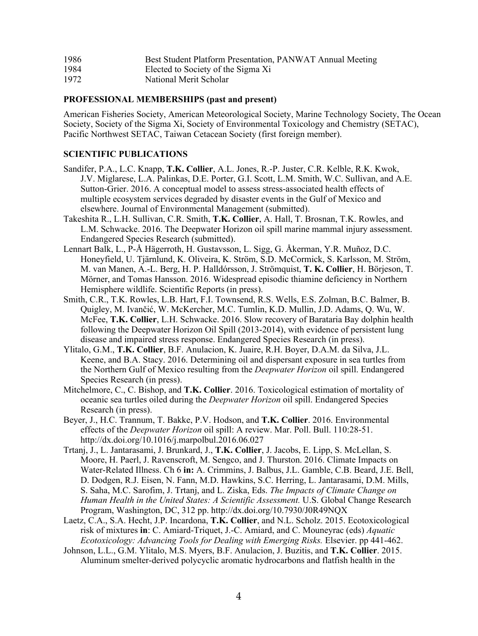| 1986 | Best Student Platform Presentation, PANWAT Annual Meeting |  |
|------|-----------------------------------------------------------|--|
|      |                                                           |  |

- 1984 Elected to Society of the Sigma Xi
- 1972 National Merit Scholar

### **PROFESSIONAL MEMBERSHIPS (past and present)**

American Fisheries Society, American Meteorological Society, Marine Technology Society, The Ocean Society, Society of the Sigma Xi, Society of Environmental Toxicology and Chemistry (SETAC), Pacific Northwest SETAC, Taiwan Cetacean Society (first foreign member).

### **SCIENTIFIC PUBLICATIONS**

- Sandifer, P.A., L.C. Knapp, **T.K. Collier**, A.L. Jones, R.-P. Juster, C.R. Kelble, R.K. Kwok, J.V. Miglarese, L.A. Palinkas, D.E. Porter, G.I. Scott, L.M. Smith, W.C. Sullivan, and A.E. Sutton-Grier. 2016. A conceptual model to assess stress-associated health effects of multiple ecosystem services degraded by disaster events in the Gulf of Mexico and elsewhere. Journal of Environmental Management (submitted).
- Takeshita R., L.H. Sullivan, C.R. Smith, **T.K. Collier**, A. Hall, T. Brosnan, T.K. Rowles, and L.M. Schwacke. 2016. The Deepwater Horizon oil spill marine mammal injury assessment. Endangered Species Research (submitted).
- Lennart Balk, L., P-Å Hägerroth, H. Gustavsson, L. Sigg, G. Åkerman, Y.R. Muñoz, D.C. Honeyfield, U. Tjärnlund, K. Oliveira, K. Ström, S.D. McCormick, S. Karlsson, M. Ström, M. van Manen, A.-L. Berg, H. P. Halldórsson, J. Strömquist, **T. K. Collier**, H. Börjeson, T. Mörner, and Tomas Hansson. 2016. Widespread episodic thiamine deficiency in Northern Hemisphere wildlife. Scientific Reports (in press).
- Smith, C.R., T.K. Rowles, L.B. Hart, F.I. Townsend, R.S. Wells, E.S. Zolman, B.C. Balmer, B. Quigley, M. Ivančić, W. McKercher, M.C. Tumlin, K.D. Mullin, J.D. Adams, Q. Wu, W. McFee, **T.K. Collier**, L.H. Schwacke. 2016. Slow recovery of Barataria Bay dolphin health following the Deepwater Horizon Oil Spill (2013-2014), with evidence of persistent lung disease and impaired stress response. Endangered Species Research (in press).
- Ylitalo, G.M., **T.K. Collier**, B.F. Anulacion, K. Juaire, R.H. Boyer, D.A.M. da Silva, J.L. Keene, and B.A. Stacy. 2016. Determining oil and dispersant exposure in sea turtles from the Northern Gulf of Mexico resulting from the *Deepwater Horizon* oil spill. Endangered Species Research (in press).
- Mitchelmore, C., C. Bishop, and **T.K. Collier**. 2016. Toxicological estimation of mortality of oceanic sea turtles oiled during the *Deepwater Horizon* oil spill. Endangered Species Research (in press).
- Beyer, J., H.C. Trannum, T. Bakke, P.V. Hodson, and **T.K. Collier**. 2016. Environmental effects of the *Deepwater Horizon* oil spill: A review. Mar. Poll. Bull. 110:28-51. http://dx.doi.org/10.1016/j.marpolbul.2016.06.027
- Trtanj, J., L. Jantarasami, J. Brunkard, J., **T.K. Collier**, J. Jacobs, E. Lipp, S. McLellan, S. Moore, H. Paerl, J. Ravenscroft, M. Sengco, and J. Thurston. 2016. Climate Impacts on Water-Related Illness. Ch 6 **in:** A. Crimmins, J. Balbus, J.L. Gamble, C.B. Beard, J.E. Bell, D. Dodgen, R.J. Eisen, N. Fann, M.D. Hawkins, S.C. Herring, L. Jantarasami, D.M. Mills, S. Saha, M.C. Sarofim, J. Trtanj, and L. Ziska, Eds. *The Impacts of Climate Change on Human Health in the United States: A Scientific Assessment.* U.S. Global Change Research Program, Washington, DC, 312 pp. http://dx.doi.org/10.7930/J0R49NQX
- Laetz, C.A., S.A. Hecht, J.P. Incardona, **T.K. Collier**, and N.L. Scholz. 2015. Ecotoxicological risk of mixtures **in**: C. Amiard-Triquet, J.-C. Amiard, and C. Mouneyrac (eds) *Aquatic Ecotoxicology: Advancing Tools for Dealing with Emerging Risks.* Elsevier. pp 441-462.
- Johnson, L.L., G.M. Ylitalo, M.S. Myers, B.F. Anulacion, J. Buzitis, and **T.K. Collier**. 2015. Aluminum smelter-derived polycyclic aromatic hydrocarbons and flatfish health in the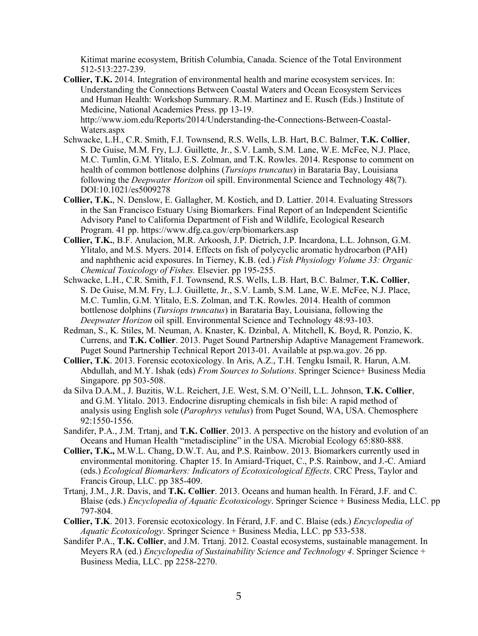Kitimat marine ecosystem, British Columbia, Canada. Science of the Total Environment 512-513:227-239.

**Collier, T.K.** 2014. Integration of environmental health and marine ecosystem services. In: Understanding the Connections Between Coastal Waters and Ocean Ecosystem Services and Human Health: Workshop Summary. R.M. Martinez and E. Rusch (Eds.) Institute of Medicine, National Academies Press. pp 13-19.

http://www.iom.edu/Reports/2014/Understanding-the-Connections-Between-Coastal-Waters aspx

- Schwacke, L.H., C.R. Smith, F.I. Townsend, R.S. Wells, L.B. Hart, B.C. Balmer, **T.K. Collier**, S. De Guise, M.M. Fry, L.J. Guillette, Jr., S.V. Lamb, S.M. Lane, W.E. McFee, N.J. Place, M.C. Tumlin, G.M. Ylitalo, E.S. Zolman, and T.K. Rowles. 2014. Response to comment on health of common bottlenose dolphins (*Tursiops truncatus*) in Barataria Bay, Louisiana following the *Deepwater Horizon* oil spill. Environmental Science and Technology 48(7). DOI:10.1021/es5009278
- **Collier, T.K.**, N. Denslow, E. Gallagher, M. Kostich, and D. Lattier. 2014. Evaluating Stressors in the San Francisco Estuary Using Biomarkers. Final Report of an Independent Scientific Advisory Panel to California Department of Fish and Wildlife, Ecological Research Program. 41 pp. https://www.dfg.ca.gov/erp/biomarkers.asp
- **Collier, T.K.**, B.F. Anulacion, M.R. Arkoosh, J.P. Dietrich, J.P. Incardona, L.L. Johnson, G.M. Ylitalo, and M.S. Myers. 2014. Effects on fish of polycyclic aromatic hydrocarbon (PAH) and naphthenic acid exposures. In Tierney, K.B. (ed.) *Fish Physiology Volume 33: Organic Chemical Toxicology of Fishes.* Elsevier. pp 195-255.
- Schwacke, L.H., C.R. Smith, F.I. Townsend, R.S. Wells, L.B. Hart, B.C. Balmer, **T.K. Collier**, S. De Guise, M.M. Fry, L.J. Guillette, Jr., S.V. Lamb, S.M. Lane, W.E. McFee, N.J. Place, M.C. Tumlin, G.M. Ylitalo, E.S. Zolman, and T.K. Rowles. 2014. Health of common bottlenose dolphins (*Tursiops truncatus*) in Barataria Bay, Louisiana, following the *Deepwater Horizon* oil spill. Environmental Science and Technology 48:93-103.
- Redman, S., K. Stiles, M. Neuman, A. Knaster, K. Dzinbal, A. Mitchell, K. Boyd, R. Ponzio, K. Currens, and **T.K. Collier**. 2013. Puget Sound Partnership Adaptive Management Framework. Puget Sound Partnership Technical Report 2013-01. Available at psp.wa.gov. 26 pp.
- **Collier, T.K**. 2013. Forensic ecotoxicology. In Aris, A.Z., T.H. Tengku Ismail, R. Harun, A.M. Abdullah, and M.Y. Ishak (eds) *From Sources to Solutions*. Springer Science+ Business Media Singapore. pp 503-508.
- da Silva D.A.M., J. Buzitis, W.L. Reichert, J.E. West, S.M. O'Neill, L.L. Johnson, **T.K. Collier**, and G.M. Ylitalo. 2013. Endocrine disrupting chemicals in fish bile: A rapid method of analysis using English sole (*Parophrys vetulus*) from Puget Sound, WA, USA. Chemosphere 92:1550-1556.
- Sandifer, P.A., J.M. Trtanj, and **T.K. Collier**. 2013. A perspective on the history and evolution of an Oceans and Human Health "metadiscipline" in the USA. Microbial Ecology 65:880-888.
- **Collier, T.K.,** M.W.L. Chang, D.W.T. Au, and P.S. Rainbow. 2013. Biomarkers currently used in environmental monitoring. Chapter 15. In Amiard-Triquet, C., P.S. Rainbow, and J.-C. Amiard (eds.) *Ecological Biomarkers: Indicators of Ecotoxicological Effects*. CRC Press, Taylor and Francis Group, LLC. pp 385-409.
- Trtanj, J.M., J.R. Davis, and **T.K. Collier**. 2013. Oceans and human health. In Férard, J.F. and C. Blaise (eds.) *Encyclopedia of Aquatic Ecotoxicology*. Springer Science + Business Media, LLC. pp 797-804.
- **Collier, T.K**. 2013. Forensic ecotoxicology. In Férard, J.F. and C. Blaise (eds.) *Encyclopedia of Aquatic Ecotoxicology*. Springer Science + Business Media, LLC. pp 533-538.
- Sandifer P.A., **T.K. Collier**, and J.M. Trtanj. 2012. Coastal ecosystems, sustainable management. In Meyers RA (ed.) *Encyclopedia of Sustainability Science and Technology 4*. Springer Science + Business Media, LLC. pp 2258-2270.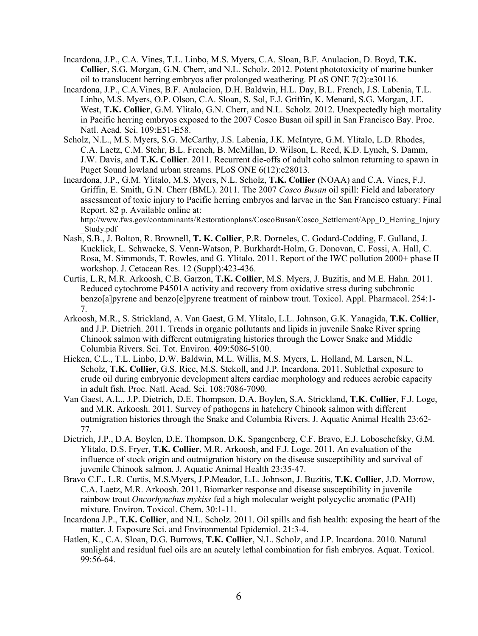- Incardona, J.P., C.A. Vines, T.L. Linbo, M.S. Myers, C.A. Sloan, B.F. Anulacion, D. Boyd, **T.K. Collier**, S.G. Morgan, G.N. Cherr, and N.L. Scholz. 2012. Potent phototoxicity of marine bunker oil to translucent herring embryos after prolonged weathering. PLoS ONE 7(2):e30116.
- Incardona, J.P., C.A.Vines, B.F. Anulacion, D.H. Baldwin, H.L. Day, B.L. French, J.S. Labenia, T.L. Linbo, M.S. Myers, O.P. Olson, C.A. Sloan, S. Sol, F.J. Griffin, K. Menard, S.G. Morgan, J.E. West, **T.K. Collier**, G.M. Ylitalo, G.N. Cherr, and N.L. Scholz. 2012. Unexpectedly high mortality in Pacific herring embryos exposed to the 2007 Cosco Busan oil spill in San Francisco Bay. Proc. Natl. Acad. Sci. 109:E51-E58.
- Scholz, N.L., M.S. Myers, S.G. McCarthy, J.S. Labenia, J.K. McIntyre, G.M. Ylitalo, L.D. Rhodes, C.A. Laetz, C.M. Stehr, B.L. French, B. McMillan, D. Wilson, L. Reed, K.D. Lynch, S. Damm, J.W. Davis, and **T.K. Collier**. 2011. Recurrent die-offs of adult coho salmon returning to spawn in Puget Sound lowland urban streams. PLoS ONE 6(12):e28013.
- Incardona, J.P., G.M. Ylitalo, M.S. Myers, N.L. Scholz, **T.K. Collier** (NOAA) and C.A. Vines, F.J. Griffin, E. Smith, G.N. Cherr (BML). 2011. The 2007 *Cosco Busan* oil spill: Field and laboratory assessment of toxic injury to Pacific herring embryos and larvae in the San Francisco estuary: Final Report. 82 p. Available online at:

http://www.fws.gov/contaminants/Restorationplans/CoscoBusan/Cosco\_Settlement/App\_D\_Herring\_Injury \_Study.pdf

- Nash, S.B., J. Bolton, R. Brownell, **T. K. Collier**, P.R. Dorneles, C. Godard-Codding, F. Gulland, J. Kucklick, L. Schwacke, S. Venn-Watson, P. Burkhardt-Holm, G. Donovan, C. Fossi, A. Hall, C. Rosa, M. Simmonds, T. Rowles, and G. Ylitalo. 2011. Report of the IWC pollution 2000+ phase II workshop. J. Cetacean Res. 12 (Suppl):423-436.
- Curtis, L.R, M.R. Arkoosh, C.B. Garzon, **T.K. Collier**, M.S. Myers, J. Buzitis, and M.E. Hahn. 2011. Reduced cytochrome P4501A activity and recovery from oxidative stress during subchronic benzo[a]pyrene and benzo[e]pyrene treatment of rainbow trout. Toxicol. Appl. Pharmacol. 254:1- 7.
- Arkoosh, M.R., S. Strickland, A. Van Gaest, G.M. Ylitalo, L.L. Johnson, G.K. Yanagida, **T.K. Collier**, and J.P. Dietrich. 2011. Trends in organic pollutants and lipids in juvenile Snake River spring Chinook salmon with different outmigrating histories through the Lower Snake and Middle Columbia Rivers. Sci. Tot. Environ. 409:5086-5100.
- Hicken, C.L., T.L. Linbo, D.W. Baldwin, M.L. Willis, M.S. Myers, L. Holland, M. Larsen, N.L. Scholz, **T.K. Collier**, G.S. Rice, M.S. Stekoll, and J.P. Incardona. 2011. Sublethal exposure to crude oil during embryonic development alters cardiac morphology and reduces aerobic capacity in adult fish. Proc. Natl. Acad. Sci. 108:7086-7090.
- Van Gaest, A.L., J.P. Dietrich, D.E. Thompson, D.A. Boylen, S.A. Strickland**, T.K. Collier**, F.J. Loge, and M.R. Arkoosh. 2011. Survey of pathogens in hatchery Chinook salmon with different outmigration histories through the Snake and Columbia Rivers. J. Aquatic Animal Health 23:62- 77.
- Dietrich, J.P., D.A. Boylen, D.E. Thompson, D.K. Spangenberg, C.F. Bravo, E.J. Loboschefsky, G.M. Ylitalo, D.S. Fryer, **T.K. Collier**, M.R. Arkoosh, and F.J. Loge. 2011. An evaluation of the influence of stock origin and outmigration history on the disease susceptibility and survival of juvenile Chinook salmon. J. Aquatic Animal Health 23:35-47.
- Bravo C.F., L.R. Curtis, M.S.Myers, J.P.Meador, L.L. Johnson, J. Buzitis, **T.K. Collier**, J.D. Morrow, C.A. Laetz, M.R. Arkoosh. 2011. Biomarker response and disease susceptibility in juvenile rainbow trout *Oncorhynchus mykiss* fed a high molecular weight polycyclic aromatic (PAH) mixture. Environ. Toxicol. Chem. 30:1-11.
- Incardona J.P., **T.K. Collier**, and N.L. Scholz. 2011. Oil spills and fish health: exposing the heart of the matter. J. Exposure Sci. and Environmental Epidemiol. 21:3-4.
- Hatlen, K., C.A. Sloan, D.G. Burrows, **T.K. Collier**, N.L. Scholz, and J.P. Incardona. 2010. Natural sunlight and residual fuel oils are an acutely lethal combination for fish embryos. Aquat. Toxicol. 99:56-64.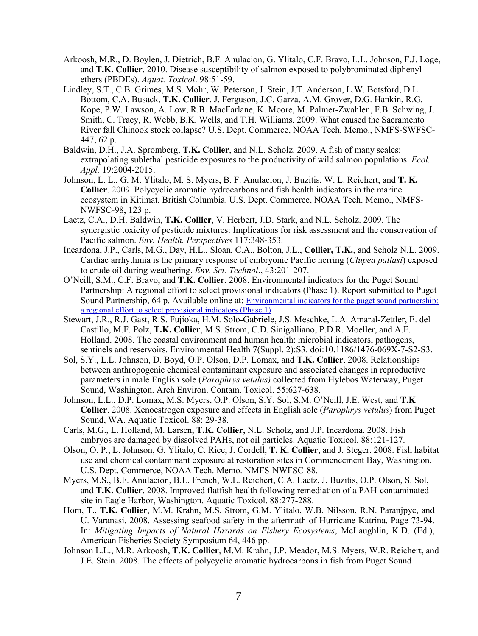- Arkoosh, M.R., D. Boylen, J. Dietrich, B.F. Anulacion, G. Ylitalo, C.F. Bravo, L.L. Johnson, F.J. Loge, and **T.K. Collier**. 2010. Disease susceptibility of salmon exposed to polybrominated diphenyl ethers (PBDEs). *Aquat. Toxicol*. 98:51-59.
- Lindley, S.T., C.B. Grimes, M.S. Mohr, W. Peterson, J. Stein, J.T. Anderson, L.W. Botsford, D.L. Bottom, C.A. Busack, **T.K. Collier**, J. Ferguson, J.C. Garza, A.M. Grover, D.G. Hankin, R.G. Kope, P.W. Lawson, A. Low, R.B. MacFarlane, K. Moore, M. Palmer-Zwahlen, F.B. Schwing, J. Smith, C. Tracy, R. Webb, B.K. Wells, and T.H. Williams. 2009. What caused the Sacramento River fall Chinook stock collapse? U.S. Dept. Commerce, NOAA Tech. Memo., NMFS-SWFSC-447, 62 p.
- Baldwin, D.H., J.A. Spromberg, **T.K. Collier**, and N.L. Scholz. 2009. A fish of many scales: extrapolating sublethal pesticide exposures to the productivity of wild salmon populations. *Ecol. Appl.* 19:2004-2015.
- Johnson, L. L., G. M. Ylitalo, M. S. Myers, B. F. Anulacion, J. Buzitis, W. L. Reichert, and **T. K. Collier**. 2009. Polycyclic aromatic hydrocarbons and fish health indicators in the marine ecosystem in Kitimat, British Columbia. U.S. Dept. Commerce, NOAA Tech. Memo., NMFS-NWFSC-98, 123 p.
- Laetz, C.A., D.H. Baldwin, **T.K. Collier**, V. Herbert, J.D. Stark, and N.L. Scholz. 2009. The synergistic toxicity of pesticide mixtures: Implications for risk assessment and the conservation of Pacific salmon. *Env. Health. Perspectives* 117:348-353.
- Incardona, J.P., Carls, M.G., Day, H.L., Sloan, C.A., Bolton, J.L., **Collier, T.K.**, and Scholz N.L. 2009. Cardiac arrhythmia is the primary response of embryonic Pacific herring (*Clupea pallasi*) exposed to crude oil during weathering. *Env. Sci. Technol*., 43:201-207.
- O'Neill, S.M., C.F. Bravo, and **T.K. Collier**. 2008. Environmental indicators for the Puget Sound Partnership: A regional effort to select provisional indicators (Phase 1). Report submitted to Puget Sound Partnership, 64 p. Available online at: Environmental indicators for the puget sound partnership: a regional effort to select provisional indicators (Phase 1)
- Stewart, J.R., R.J. Gast, R.S. Fujioka, H.M. Solo-Gabriele, J.S. Meschke, L.A. Amaral-Zettler, E. del Castillo, M.F. Polz, **T.K. Collier**, M.S. Strom, C.D. Sinigalliano, P.D.R. Moeller, and A.F. Holland. 2008. The coastal environment and human health: microbial indicators, pathogens, sentinels and reservoirs. Environmental Health 7(Suppl. 2):S3. doi:10.1186/1476-069X-7-S2-S3.
- Sol, S.Y., L.L. Johnson, D. Boyd, O.P. Olson, D.P. Lomax, and **T.K. Collier**. 2008. Relationships between anthropogenic chemical contaminant exposure and associated changes in reproductive parameters in male English sole (*Parophrys vetulus)* collected from Hylebos Waterway, Puget Sound, Washington. Arch Environ. Contam. Toxicol. 55:627-638.
- Johnson, L.L., D.P. Lomax, M.S. Myers, O.P. Olson, S.Y. Sol, S.M. O'Neill, J.E. West, and **T.K Collier**. 2008. Xenoestrogen exposure and effects in English sole (*Parophrys vetulus*) from Puget Sound, WA. Aquatic Toxicol. 88: 29-38.
- Carls, M.G., L. Holland, M. Larsen, **T.K. Collier**, N.L. Scholz, and J.P. Incardona. 2008. Fish embryos are damaged by dissolved PAHs, not oil particles. Aquatic Toxicol. 88:121-127.
- Olson, O. P., L. Johnson, G. Ylitalo, C. Rice, J. Cordell, **T. K. Collier**, and J. Steger. 2008. Fish habitat use and chemical contaminant exposure at restoration sites in Commencement Bay, Washington. U.S. Dept. Commerce, NOAA Tech. Memo. NMFS-NWFSC-88.
- Myers, M.S., B.F. Anulacion, B.L. French, W.L. Reichert, C.A. Laetz, J. Buzitis, O.P. Olson, S. Sol, and **T.K. Collier**. 2008. Improved flatfish health following remediation of a PAH-contaminated site in Eagle Harbor, Washington. Aquatic Toxicol. 88:277-288.
- Hom, T., **T.K. Collier**, M.M. Krahn, M.S. Strom, G.M. Ylitalo, W.B. Nilsson, R.N. Paranjpye, and U. Varanasi. 2008. Assessing seafood safety in the aftermath of Hurricane Katrina. Page 73-94. In: *Mitigating Impacts of Natural Hazards on Fishery Ecosystems*, McLaughlin, K.D. (Ed.), American Fisheries Society Symposium 64, 446 pp.
- Johnson L.L., M.R. Arkoosh, **T.K. Collier**, M.M. Krahn, J.P. Meador, M.S. Myers, W.R. Reichert, and J.E. Stein. 2008. The effects of polycyclic aromatic hydrocarbons in fish from Puget Sound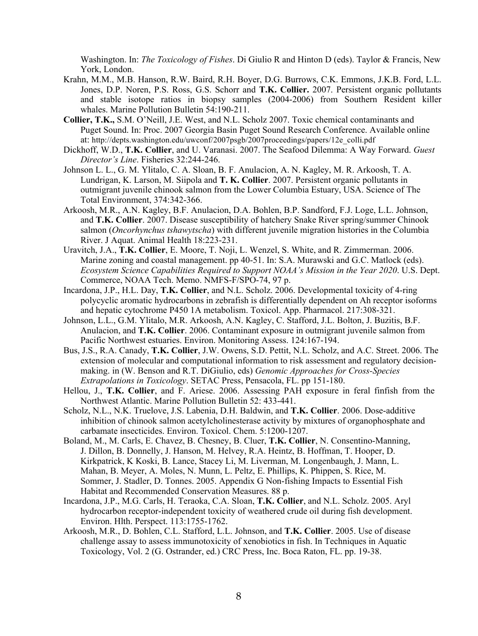Washington. In: *The Toxicology of Fishes*. Di Giulio R and Hinton D (eds). Taylor & Francis, New York, London.

- Krahn, M.M., M.B. Hanson, R.W. Baird, R.H. Boyer, D.G. Burrows, C.K. Emmons, J.K.B. Ford, L.L. Jones, D.P. Noren, P.S. Ross, G.S. Schorr and **T.K. Collier.** 2007. Persistent organic pollutants and stable isotope ratios in biopsy samples (2004-2006) from Southern Resident killer whales. Marine Pollution Bulletin 54:190-211.
- **Collier, T.K.,** S.M. O'Neill, J.E. West, and N.L. Scholz 2007. Toxic chemical contaminants and Puget Sound. In: Proc. 2007 Georgia Basin Puget Sound Research Conference. Available online at: http://depts.washington.edu/uwconf/2007psgb/2007proceedings/papers/12e\_colli.pdf
- Dickhoff, W.D., **T.K. Collier**, and U. Varanasi. 2007. The Seafood Dilemma: A Way Forward. *Guest Director's Line*. Fisheries 32:244-246.
- Johnson L. L., G. M. Ylitalo, C. A. Sloan, B. F. Anulacion, A. N. Kagley, M. R. Arkoosh, T. A. Lundrigan, K. Larson, M. Siipola and **T. K. Collier**. 2007. Persistent organic pollutants in outmigrant juvenile chinook salmon from the Lower Columbia Estuary, USA. Science of The Total Environment, 374:342-366.
- Arkoosh, M.R., A.N. Kagley, B.F. Anulacion, D.A. Bohlen, B.P. Sandford, F.J. Loge, L.L. Johnson, and **T.K. Collier**. 2007. Disease susceptibility of hatchery Snake River spring/summer Chinook salmon (*Oncorhynchus tshawytscha*) with different juvenile migration histories in the Columbia River. J Aquat. Animal Health 18:223-231.
- Uravitch, J.A., **T.K. Collier**, E. Moore, T. Noji, L. Wenzel, S. White, and R. Zimmerman. 2006. Marine zoning and coastal management. pp 40-51. In: S.A. Murawski and G.C. Matlock (eds). *Ecosystem Science Capabilities Required to Support NOAA's Mission in the Year 2020*. U.S. Dept. Commerce, NOAA Tech. Memo. NMFS-F/SPO-74, 97 p.
- Incardona, J.P., H.L. Day, **T.K. Collier**, and N.L. Scholz. 2006. Developmental toxicity of 4-ring polycyclic aromatic hydrocarbons in zebrafish is differentially dependent on Ah receptor isoforms and hepatic cytochrome P450 1A metabolism. Toxicol. App. Pharmacol. 217:308-321.
- Johnson, L.L., G.M. Ylitalo, M.R. Arkoosh, A.N. Kagley, C. Stafford, J.L. Bolton, J. Buzitis, B.F. Anulacion, and **T.K. Collier**. 2006. Contaminant exposure in outmigrant juvenile salmon from Pacific Northwest estuaries. Environ. Monitoring Assess. 124:167-194.
- Bus, J.S., R.A. Canady, **T.K. Collier**, J.W. Owens, S.D. Pettit, N.L. Scholz, and A.C. Street. 2006. The extension of molecular and computational information to risk assessment and regulatory decisionmaking. in (W. Benson and R.T. DiGiulio, eds) *Genomic Approaches for Cross-Species Extrapolations in Toxicology*. SETAC Press, Pensacola, FL. pp 151-180.
- Hellou, J., **T.K. Collier**, and F. Ariese. 2006. Assessing PAH exposure in feral finfish from the Northwest Atlantic. Marine Pollution Bulletin 52: 433-441.
- Scholz, N.L., N.K. Truelove, J.S. Labenia, D.H. Baldwin, and **T.K. Collier**. 2006. Dose-additive inhibition of chinook salmon acetylcholinesterase activity by mixtures of organophosphate and carbamate insecticides. Environ. Toxicol. Chem. 5:1200-1207.
- Boland, M., M. Carls, E. Chavez, B. Chesney, B. Cluer, **T.K. Collier**, N. Consentino-Manning, J. Dillon, B. Donnelly, J. Hanson, M. Helvey, R.A. Heintz, B. Hoffman, T. Hooper, D. Kirkpatrick, K Koski, B. Lance, Stacey Li, M. Liverman, M. Longenbaugh, J. Mann, L. Mahan, B. Meyer, A. Moles, N. Munn, L. Peltz, E. Phillips, K. Phippen, S. Rice, M. Sommer, J. Stadler, D. Tonnes. 2005. Appendix G Non-fishing Impacts to Essential Fish Habitat and Recommended Conservation Measures. 88 p.
- Incardona, J.P., M.G. Carls, H. Teraoka, C.A. Sloan, **T.K. Collier**, and N.L. Scholz. 2005. Aryl hydrocarbon receptor-independent toxicity of weathered crude oil during fish development. Environ. Hlth. Perspect. 113:1755-1762.
- Arkoosh, M.R., D. Bohlen, C.L. Stafford, L.L. Johnson, and **T.K. Collier**. 2005. Use of disease challenge assay to assess immunotoxicity of xenobiotics in fish. In Techniques in Aquatic Toxicology, Vol. 2 (G. Ostrander, ed.) CRC Press, Inc. Boca Raton, FL. pp. 19-38.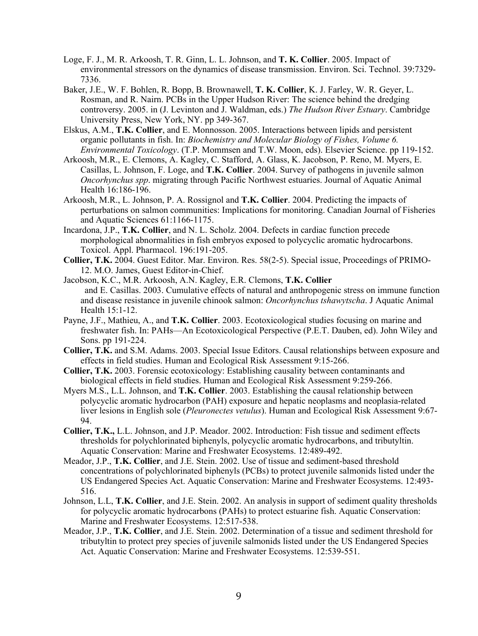- Loge, F. J., M. R. Arkoosh, T. R. Ginn, L. L. Johnson, and **T. K. Collier**. 2005. Impact of environmental stressors on the dynamics of disease transmission. Environ. Sci. Technol. 39:7329- 7336.
- Baker, J.E., W. F. Bohlen, R. Bopp, B. Brownawell, **T. K. Collier**, K. J. Farley, W. R. Geyer, L. Rosman, and R. Nairn. PCBs in the Upper Hudson River: The science behind the dredging controversy. 2005. in (J. Levinton and J. Waldman, eds.) *The Hudson River Estuary*. Cambridge University Press, New York, NY. pp 349-367.
- Elskus, A.M., **T.K. Collier**, and E. Monnosson. 2005. Interactions between lipids and persistent organic pollutants in fish. In: *Biochemistry and Molecular Biology of Fishes, Volume 6. Environmental Toxicology*. (T.P. Mommsen and T.W. Moon, eds). Elsevier Science. pp 119-152.
- Arkoosh, M.R., E. Clemons, A. Kagley, C. Stafford, A. Glass, K. Jacobson, P. Reno, M. Myers, E. Casillas, L. Johnson, F. Loge, and **T.K. Collier**. 2004. Survey of pathogens in juvenile salmon *Oncorhynchus spp*. migrating through Pacific Northwest estuaries. Journal of Aquatic Animal Health 16:186-196.
- Arkoosh, M.R., L. Johnson, P. A. Rossignol and **T.K. Collier**. 2004. Predicting the impacts of perturbations on salmon communities: Implications for monitoring. Canadian Journal of Fisheries and Aquatic Sciences 61:1166-1175.
- Incardona, J.P., **T.K. Collier**, and N. L. Scholz. 2004. Defects in cardiac function precede morphological abnormalities in fish embryos exposed to polycyclic aromatic hydrocarbons. Toxicol. Appl. Pharmacol. 196:191-205.
- **Collier, T.K.** 2004. Guest Editor. Mar. Environ. Res. 58(2-5). Special issue, Proceedings of PRIMO-12. M.O. James, Guest Editor-in-Chief.
- Jacobson, K.C., M.R. Arkoosh, A.N. Kagley, E.R. Clemons, **T.K. Collier** and E. Casillas. 2003. Cumulative effects of natural and anthropogenic stress on immune function and disease resistance in juvenile chinook salmon: *Oncorhynchus tshawytscha*. J Aquatic Animal Health 15:1-12.
- Payne, J.F., Mathieu, A., and **T.K. Collier**. 2003. Ecotoxicological studies focusing on marine and freshwater fish. In: PAHs—An Ecotoxicological Perspective (P.E.T. Dauben, ed). John Wiley and Sons. pp 191-224.
- **Collier, T.K.** and S.M. Adams. 2003. Special Issue Editors. Causal relationships between exposure and effects in field studies. Human and Ecological Risk Assessment 9:15-266.
- **Collier, T.K.** 2003. Forensic ecotoxicology: Establishing causality between contaminants and biological effects in field studies. Human and Ecological Risk Assessment 9:259-266.
- Myers M.S., L.L. Johnson, and **T.K. Collier**. 2003. Establishing the causal relationship between polycyclic aromatic hydrocarbon (PAH) exposure and hepatic neoplasms and neoplasia-related liver lesions in English sole (*Pleuronectes vetulus*). Human and Ecological Risk Assessment 9:67- 94.
- **Collier, T.K.,** L.L. Johnson, and J.P. Meador. 2002. Introduction: Fish tissue and sediment effects thresholds for polychlorinated biphenyls, polycyclic aromatic hydrocarbons, and tributyltin. Aquatic Conservation: Marine and Freshwater Ecosystems. 12:489-492.
- Meador, J.P., **T.K. Collier**, and J.E. Stein. 2002. Use of tissue and sediment-based threshold concentrations of polychlorinated biphenyls (PCBs) to protect juvenile salmonids listed under the US Endangered Species Act. Aquatic Conservation: Marine and Freshwater Ecosystems. 12:493- 516.
- Johnson, L.L, **T.K. Collier**, and J.E. Stein. 2002. An analysis in support of sediment quality thresholds for polycyclic aromatic hydrocarbons (PAHs) to protect estuarine fish. Aquatic Conservation: Marine and Freshwater Ecosystems. 12:517-538.
- Meador, J.P., **T.K. Collier**, and J.E. Stein. 2002. Determination of a tissue and sediment threshold for tributyltin to protect prey species of juvenile salmonids listed under the US Endangered Species Act. Aquatic Conservation: Marine and Freshwater Ecosystems. 12:539-551.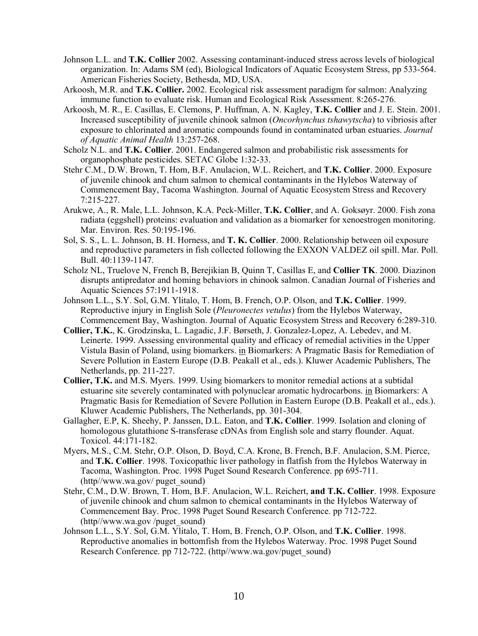- Johnson L.L. and **T.K. Collier** 2002. Assessing contaminant-induced stress across levels of biological organization. In: Adams SM (ed), Biological Indicators of Aquatic Ecosystem Stress, pp 533-564. American Fisheries Society, Bethesda, MD, USA.
- Arkoosh, M.R. and **T.K. Collier.** 2002. Ecological risk assessment paradigm for salmon: Analyzing immune function to evaluate risk. Human and Ecological Risk Assessment. 8:265-276.
- Arkoosh, M. R., E. Casillas, E. Clemons, P. Huffman, A. N. Kagley, **T.K. Collier** and J. E. Stein. 2001. Increased susceptibility of juvenile chinook salmon (*Oncorhynchus tshawytscha*) to vibriosis after exposure to chlorinated and aromatic compounds found in contaminated urban estuaries. *Journal of Aquatic Animal Health* 13:257-268.
- Scholz N.L. and **T.K. Collier**. 2001. Endangered salmon and probabilistic risk assessments for organophosphate pesticides. SETAC Globe 1:32-33.
- Stehr C.M., D.W. Brown, T. Hom, B.F. Anulacion, W.L. Reichert, and **T.K. Collier**. 2000. Exposure of juvenile chinook and chum salmon to chemical contaminants in the Hylebos Waterway of Commencement Bay, Tacoma Washington. Journal of Aquatic Ecosystem Stress and Recovery 7:215-227.
- Arukwe, A., R. Male, L.L. Johnson, K.A. Peck-Miller, **T.K. Collier**, and A. Goksøyr. 2000. Fish zona radiata (eggshell) proteins: evaluation and validation as a biomarker for xenoestrogen monitoring. Mar. Environ. Res. 50:195-196.
- Sol, S. S., L. L. Johnson, B. H. Horness, and **T. K. Collier**. 2000. Relationship between oil exposure and reproductive parameters in fish collected following the EXXON VALDEZ oil spill. Mar. Poll. Bull. 40:1139-1147.
- Scholz NL, Truelove N, French B, Berejikian B, Quinn T, Casillas E, and **Collier TK**. 2000. Diazinon disrupts antipredator and homing behaviors in chinook salmon. Canadian Journal of Fisheries and Aquatic Sciences 57:1911-1918.
- Johnson L.L., S.Y. Sol, G.M. Ylitalo, T. Hom, B. French, O.P. Olson, and **T.K. Collier**. 1999. Reproductive injury in English Sole (*Pleuronectes vetulus*) from the Hylebos Waterway, Commencement Bay, Washington. Journal of Aquatic Ecosystem Stress and Recovery 6:289-310.
- **Collier, T.K.**, K. Grodzinska, L. Lagadic, J.F. Børseth, J. Gonzalez-Lopez, A. Lebedev, and M. Leinerte. 1999. Assessing environmental quality and efficacy of remedial activities in the Upper Vistula Basin of Poland, using biomarkers. in Biomarkers: A Pragmatic Basis for Remediation of Severe Pollution in Eastern Europe (D.B. Peakall et al., eds.). Kluwer Academic Publishers, The Netherlands, pp. 211-227.
- **Collier, T.K.** and M.S. Myers. 1999. Using biomarkers to monitor remedial actions at a subtidal estuarine site severely contaminated with polynuclear aromatic hydrocarbons. in Biomarkers: A Pragmatic Basis for Remediation of Severe Pollution in Eastern Europe (D.B. Peakall et al., eds.). Kluwer Academic Publishers, The Netherlands, pp. 301-304.
- Gallagher, E.P, K. Sheehy, P. Janssen, D.L. Eaton, and **T.K. Collier**. 1999. Isolation and cloning of homologous glutathione S-transferase cDNAs from English sole and starry flounder. Aquat. Toxicol. 44:171-182.
- Myers, M.S., C.M. Stehr, O.P. Olson, D. Boyd, C.A. Krone, B. French, B.F. Anulacion, S.M. Pierce, and **T.K. Collier**. 1998. Toxicopathic liver pathology in flatfish from the Hylebos Waterway in Tacoma, Washington. Proc. 1998 Puget Sound Research Conference. pp 695-711. (http//www.wa.gov/ puget\_sound)
- Stehr, C.M., D.W. Brown, T. Hom, B.F. Anulacion, W.L. Reichert, **and T.K. Collier**. 1998. Exposure of juvenile chinook and chum salmon to chemical contaminants in the Hylebos Waterway of Commencement Bay. Proc. 1998 Puget Sound Research Conference. pp 712-722. (http//www.wa.gov /puget\_sound)
- Johnson L.L., S.Y. Sol, G.M. Ylitalo, T. Hom, B. French, O.P. Olson, and **T.K. Collier**. 1998. Reproductive anomalies in bottomfish from the Hylebos Waterway. Proc. 1998 Puget Sound Research Conference. pp 712-722. (http//www.wa.gov/puget\_sound)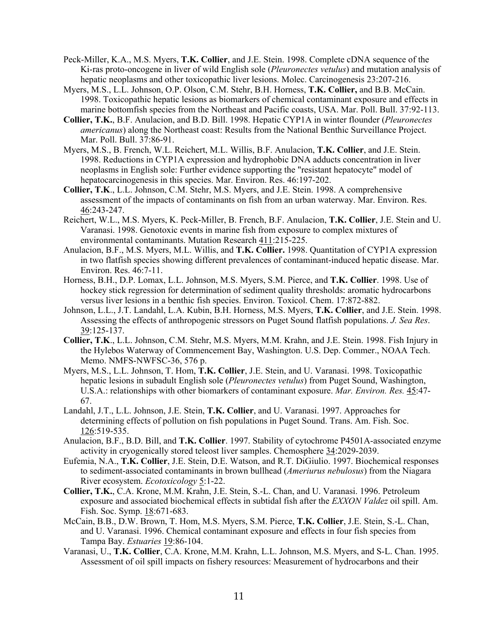- Peck-Miller, K.A., M.S. Myers, **T.K. Collier**, and J.E. Stein. 1998. Complete cDNA sequence of the Ki-ras proto-oncogene in liver of wild English sole (*Pleuronectes vetulus*) and mutation analysis of hepatic neoplasms and other toxicopathic liver lesions. Molec. Carcinogenesis 23:207-216.
- Myers, M.S., L.L. Johnson, O.P. Olson, C.M. Stehr, B.H. Horness, **T.K. Collier,** and B.B. McCain. 1998. Toxicopathic hepatic lesions as biomarkers of chemical contaminant exposure and effects in marine bottomfish species from the Northeast and Pacific coasts, USA. Mar. Poll. Bull. 37:92-113.
- **Collier, T.K.**, B.F. Anulacion, and B.D. Bill. 1998. Hepatic CYP1A in winter flounder (*Pleuronectes americanus*) along the Northeast coast: Results from the National Benthic Surveillance Project. Mar. Poll. Bull. 37:86-91.
- Myers, M.S., B. French, W.L. Reichert, M.L. Willis, B.F. Anulacion, **T.K. Collier**, and J.E. Stein. 1998. Reductions in CYP1A expression and hydrophobic DNA adducts concentration in liver neoplasms in English sole: Further evidence supporting the "resistant hepatocyte" model of hepatocarcinogenesis in this species. Mar. Environ. Res. 46:197-202.
- **Collier, T.K**., L.L. Johnson, C.M. Stehr, M.S. Myers, and J.E. Stein. 1998. A comprehensive assessment of the impacts of contaminants on fish from an urban waterway. Mar. Environ. Res. 46:243-247.
- Reichert, W.L., M.S. Myers, K. Peck-Miller, B. French, B.F. Anulacion, **T.K. Collier**, J.E. Stein and U. Varanasi. 1998. Genotoxic events in marine fish from exposure to complex mixtures of environmental contaminants. Mutation Research 411:215-225.
- Anulacion, B.F., M.S. Myers, M.L. Willis, and **T.K. Collier.** 1998. Quantitation of CYP1A expression in two flatfish species showing different prevalences of contaminant-induced hepatic disease. Mar. Environ. Res. 46:7-11.
- Horness, B.H., D.P. Lomax, L.L. Johnson, M.S. Myers, S.M. Pierce, and **T.K. Collier**. 1998. Use of hockey stick regression for determination of sediment quality thresholds: aromatic hydrocarbons versus liver lesions in a benthic fish species. Environ. Toxicol. Chem. 17:872-882.
- Johnson, L.L., J.T. Landahl, L.A. Kubin, B.H. Horness, M.S. Myers, **T.K. Collier**, and J.E. Stein. 1998. Assessing the effects of anthropogenic stressors on Puget Sound flatfish populations. *J. Sea Res*. 39:125-137.
- **Collier, T.K**., L.L. Johnson, C.M. Stehr, M.S. Myers, M.M. Krahn, and J.E. Stein. 1998. Fish Injury in the Hylebos Waterway of Commencement Bay, Washington. U.S. Dep. Commer., NOAA Tech. Memo. NMFS-NWFSC-36, 576 p.
- Myers, M.S., L.L. Johnson, T. Hom, **T.K. Collier**, J.E. Stein, and U. Varanasi. 1998. Toxicopathic hepatic lesions in subadult English sole (*Pleuronectes vetulus*) from Puget Sound, Washington, U.S.A.: relationships with other biomarkers of contaminant exposure. *Mar. Environ. Res.* 45:47- 67.
- Landahl, J.T., L.L. Johnson, J.E. Stein, **T.K. Collier**, and U. Varanasi. 1997. Approaches for determining effects of pollution on fish populations in Puget Sound. Trans. Am. Fish. Soc. 126:519-535.
- Anulacion, B.F., B.D. Bill, and **T.K. Collier**. 1997. Stability of cytochrome P4501A-associated enzyme activity in cryogenically stored teleost liver samples. Chemosphere 34:2029-2039.
- Eufemia, N.A., **T.K. Collier**, J.E. Stein, D.E. Watson, and R.T. DiGiulio. 1997. Biochemical responses to sediment-associated contaminants in brown bullhead (*Ameriurus nebulosus*) from the Niagara River ecosystem. *Ecotoxicology* 5:1-22.
- **Collier, T.K.**, C.A. Krone, M.M. Krahn, J.E. Stein, S.-L. Chan, and U. Varanasi. 1996. Petroleum exposure and associated biochemical effects in subtidal fish after the *EXXON Valdez* oil spill. Am. Fish. Soc. Symp. 18:671-683.
- McCain, B.B., D.W. Brown, T. Hom, M.S. Myers, S.M. Pierce, **T.K. Collier**, J.E. Stein, S.-L. Chan, and U. Varanasi. 1996. Chemical contaminant exposure and effects in four fish species from Tampa Bay. *Estuaries* 19:86-104.
- Varanasi, U., **T.K. Collier**, C.A. Krone, M.M. Krahn, L.L. Johnson, M.S. Myers, and S-L. Chan. 1995. Assessment of oil spill impacts on fishery resources: Measurement of hydrocarbons and their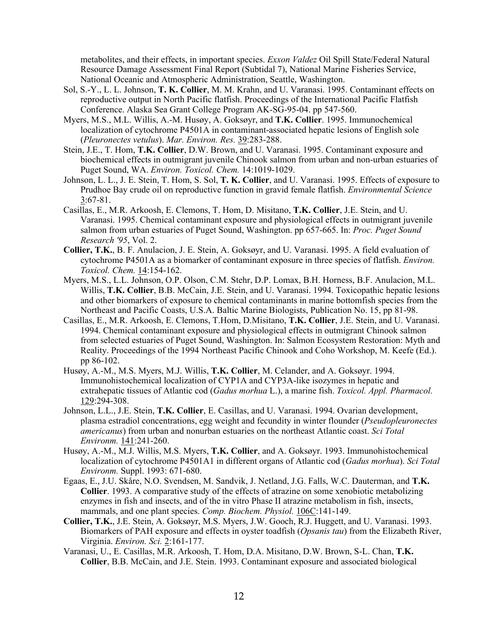metabolites, and their effects, in important species. *Exxon Valdez* Oil Spill State/Federal Natural Resource Damage Assessment Final Report (Subtidal 7), National Marine Fisheries Service, National Oceanic and Atmospheric Administration, Seattle, Washington.

- Sol, S.-Y., L. L. Johnson, **T. K. Collier**, M. M. Krahn, and U. Varanasi. 1995. Contaminant effects on reproductive output in North Pacific flatfish. Proceedings of the International Pacific Flatfish Conference. Alaska Sea Grant College Program AK-SG-95-04. pp 547-560.
- Myers, M.S., M.L. Willis, A.-M. Husøy, A. Goksøyr, and **T.K. Collier**. 1995. Immunochemical localization of cytochrome P4501A in contaminant-associated hepatic lesions of English sole (*Pleuronectes vetulus*). *Mar. Environ. Res.* 39:283-288.
- Stein, J.E., T. Hom, **T.K. Collier**, D.W. Brown, and U. Varanasi. 1995. Contaminant exposure and biochemical effects in outmigrant juvenile Chinook salmon from urban and non-urban estuaries of Puget Sound, WA. *Environ. Toxicol. Chem.* 14:1019-1029.
- Johnson, L. L., J. E. Stein, T. Hom, S. Sol, **T. K. Collier**, and U. Varanasi. 1995. Effects of exposure to Prudhoe Bay crude oil on reproductive function in gravid female flatfish. *Environmental Science* 3:67-81.
- Casillas, E., M.R. Arkoosh, E. Clemons, T. Hom, D. Misitano, **T.K. Collier**, J.E. Stein, and U. Varanasi. 1995. Chemical contaminant exposure and physiological effects in outmigrant juvenile salmon from urban estuaries of Puget Sound, Washington. pp 657-665. In: *Proc. Puget Sound Research '95*, Vol. 2.
- **Collier, T.K.**, B. F. Anulacion, J. E. Stein, A. Goksøyr, and U. Varanasi. 1995. A field evaluation of cytochrome P4501A as a biomarker of contaminant exposure in three species of flatfish. *Environ. Toxicol. Chem.* 14:154-162.
- Myers, M.S., L.L. Johnson, O.P. Olson, C.M. Stehr, D.P. Lomax, B.H. Horness, B.F. Anulacion, M.L. Willis, **T.K. Collier**, B.B. McCain, J.E. Stein, and U. Varanasi. 1994. Toxicopathic hepatic lesions and other biomarkers of exposure to chemical contaminants in marine bottomfish species from the Northeast and Pacific Coasts, U.S.A. Baltic Marine Biologists, Publication No. 15, pp 81-98.
- Casillas, E., M.R. Arkoosh, E. Clemons, T.Hom, D.Misitano, **T.K. Collier**, J.E. Stein, and U. Varanasi. 1994. Chemical contaminant exposure and physiological effects in outmigrant Chinook salmon from selected estuaries of Puget Sound, Washington. In: Salmon Ecosystem Restoration: Myth and Reality. Proceedings of the 1994 Northeast Pacific Chinook and Coho Workshop, M. Keefe (Ed.). pp 86-102.
- Husøy, A.-M., M.S. Myers, M.J. Willis, **T.K. Collier**, M. Celander, and A. Goksøyr. 1994. Immunohistochemical localization of CYP1A and CYP3A-like isozymes in hepatic and extrahepatic tissues of Atlantic cod (*Gadus morhua* L.), a marine fish. *Toxicol. Appl. Pharmacol.* 129:294-308.
- Johnson, L.L., J.E. Stein, **T.K. Collier**, E. Casillas, and U. Varanasi. 1994. Ovarian development, plasma estradiol concentrations, egg weight and fecundity in winter flounder (*Pseudopleuronectes americanus*) from urban and nonurban estuaries on the northeast Atlantic coast. *Sci Total Environm.* 141:241-260.
- Husøy, A.-M., M.J. Willis, M.S. Myers, **T.K. Collier**, and A. Goksøyr. 1993. Immunohistochemical localization of cytochrome P4501A1 in different organs of Atlantic cod (*Gadus morhua*). *Sci Total Environm.* Suppl. 1993: 671-680.
- Egaas, E., J.U. Skåre, N.O. Svendsen, M. Sandvik, J. Netland, J.G. Falls, W.C. Dauterman, and **T.K. Collier**. 1993. A comparative study of the effects of atrazine on some xenobiotic metabolizing enzymes in fish and insects, and of the in vitro Phase II atrazine metabolism in fish, insects, mammals, and one plant species. *Comp. Biochem. Physiol.* 106C:141-149.
- **Collier, T.K.**, J.E. Stein, A. Goksøyr, M.S. Myers, J.W. Gooch, R.J. Huggett, and U. Varanasi. 1993. Biomarkers of PAH exposure and effects in oyster toadfish (*Opsanis tau*) from the Elizabeth River, Virginia. *Environ. Sci.* 2:161-177.
- Varanasi, U., E. Casillas, M.R. Arkoosh, T. Hom, D.A. Misitano, D.W. Brown, S-L. Chan, **T.K. Collier**, B.B. McCain, and J.E. Stein. 1993. Contaminant exposure and associated biological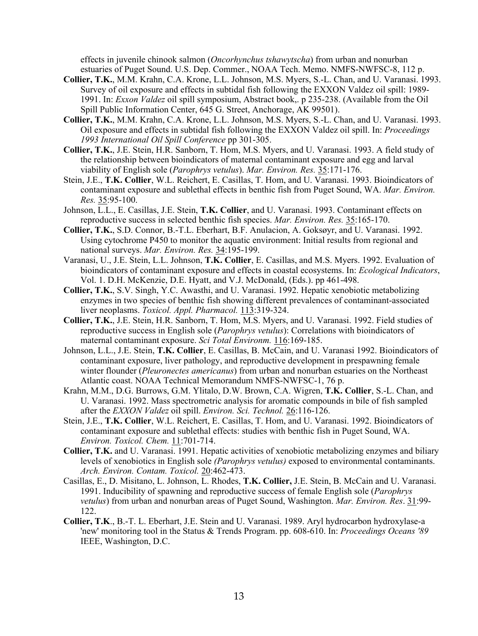effects in juvenile chinook salmon (*Oncorhynchus tshawytscha*) from urban and nonurban estuaries of Puget Sound. U.S. Dep. Commer., NOAA Tech. Memo. NMFS-NWFSC-8, 112 p.

- **Collier, T.K.**, M.M. Krahn, C.A. Krone, L.L. Johnson, M.S. Myers, S.-L. Chan, and U. Varanasi. 1993. Survey of oil exposure and effects in subtidal fish following the EXXON Valdez oil spill: 1989- 1991. In: *Exxon Valdez* oil spill symposium, Abstract book,. p 235-238. (Available from the Oil Spill Public Information Center, 645 G. Street, Anchorage, AK 99501).
- **Collier, T.K.**, M.M. Krahn, C.A. Krone, L.L. Johnson, M.S. Myers, S.-L. Chan, and U. Varanasi. 1993. Oil exposure and effects in subtidal fish following the EXXON Valdez oil spill. In: *Proceedings 1993 International Oil Spill Conference* pp 301-305.
- **Collier, T.K.**, J.E. Stein, H.R. Sanborn, T. Hom, M.S. Myers, and U. Varanasi. 1993. A field study of the relationship between bioindicators of maternal contaminant exposure and egg and larval viability of English sole (*Parophrys vetulus*). *Mar. Environ. Res.* 35:171-176.
- Stein, J.E., **T.K. Collier**, W.L. Reichert, E. Casillas, T. Hom, and U. Varanasi. 1993. Bioindicators of contaminant exposure and sublethal effects in benthic fish from Puget Sound, WA. *Mar. Environ. Res.* 35:95-100.
- Johnson, L.L., E. Casillas, J.E. Stein, **T.K. Collier**, and U. Varanasi. 1993. Contaminant effects on reproductive success in selected benthic fish species. *Mar. Environ. Res.* 35:165-170.
- **Collier, T.K.**, S.D. Connor, B.-T.L. Eberhart, B.F. Anulacion, A. Goksøyr, and U. Varanasi. 1992. Using cytochrome P450 to monitor the aquatic environment: Initial results from regional and national surveys. *Mar. Environ. Res.* 34:195-199.
- Varanasi, U., J.E. Stein, L.L. Johnson, **T.K. Collier**, E. Casillas, and M.S. Myers. 1992. Evaluation of bioindicators of contaminant exposure and effects in coastal ecosystems. In: *Ecological Indicators*, Vol. 1. D.H. McKenzie, D.E. Hyatt, and V.J. McDonald, (Eds.). pp 461-498.
- **Collier, T.K.**, S.V. Singh, Y.C. Awasthi, and U. Varanasi. 1992. Hepatic xenobiotic metabolizing enzymes in two species of benthic fish showing different prevalences of contaminant-associated liver neoplasms. *Toxicol. Appl. Pharmacol.* 113:319-324.
- **Collier, T.K.**, J.E. Stein, H.R. Sanborn, T. Hom, M.S. Myers, and U. Varanasi. 1992. Field studies of reproductive success in English sole (*Parophrys vetulus*): Correlations with bioindicators of maternal contaminant exposure. *Sci Total Environm.* 116:169-185.
- Johnson, L.L., J.E. Stein, **T.K. Collier**, E. Casillas, B. McCain, and U. Varanasi 1992. Bioindicators of contaminant exposure, liver pathology, and reproductive development in prespawning female winter flounder (*Pleuronectes americanus*) from urban and nonurban estuaries on the Northeast Atlantic coast. NOAA Technical Memorandum NMFS-NWFSC-1, 76 p.
- Krahn, M.M., D.G. Burrows, G.M. Ylitalo, D.W. Brown, C.A. Wigren, **T.K. Collier**, S.-L. Chan, and U. Varanasi. 1992. Mass spectrometric analysis for aromatic compounds in bile of fish sampled after the *EXXON Valdez* oil spill. *Environ. Sci. Technol.* 26:116-126.
- Stein, J.E., **T.K. Collier**, W.L. Reichert, E. Casillas, T. Hom, and U. Varanasi. 1992. Bioindicators of contaminant exposure and sublethal effects: studies with benthic fish in Puget Sound, WA. *Environ. Toxicol. Chem.* 11:701-714.
- **Collier, T.K.** and U. Varanasi. 1991. Hepatic activities of xenobiotic metabolizing enzymes and biliary levels of xenobiotics in English sole *(Parophrys vetulus)* exposed to environmental contaminants. *Arch. Environ. Contam. Toxicol.* 20:462-473.
- Casillas, E., D. Misitano, L. Johnson, L. Rhodes, **T.K. Collier,** J.E. Stein, B. McCain and U. Varanasi. 1991. Inducibility of spawning and reproductive success of female English sole (*Parophrys vetulus*) from urban and nonurban areas of Puget Sound, Washington. *Mar. Environ. Res*. 31:99- 122.
- **Collier, T.K**., B.-T. L. Eberhart, J.E. Stein and U. Varanasi. 1989. Aryl hydrocarbon hydroxylase-a 'new' monitoring tool in the Status & Trends Program. pp. 608-610. In: *Proceedings Oceans '89* IEEE, Washington, D.C.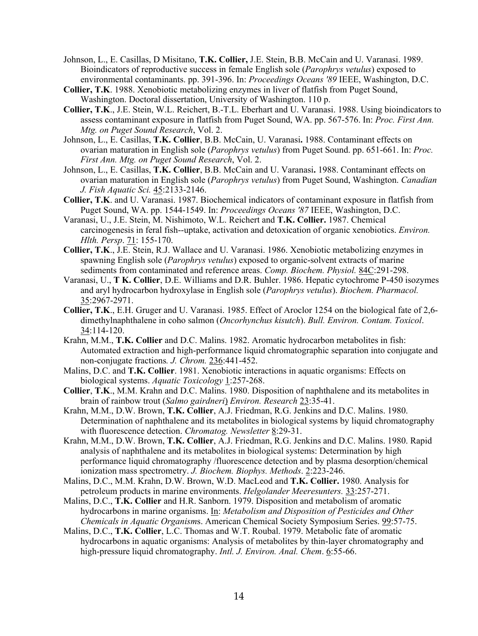- Johnson, L., E. Casillas, D Misitano, **T.K. Collier,** J.E. Stein, B.B. McCain and U. Varanasi. 1989. Bioindicators of reproductive success in female English sole (*Parophrys vetulus*) exposed to environmental contaminants. pp. 391-396. In: *Proceedings Oceans '89* IEEE, Washington, D.C.
- **Collier, T.K**. 1988. Xenobiotic metabolizing enzymes in liver of flatfish from Puget Sound, Washington. Doctoral dissertation, University of Washington. 110 p.
- **Collier, T.K**., J.E. Stein, W.L. Reichert, B.-T.L. Eberhart and U. Varanasi. 1988. Using bioindicators to assess contaminant exposure in flatfish from Puget Sound, WA. pp. 567-576. In: *Proc. First Ann. Mtg. on Puget Sound Research*, Vol. 2.
- Johnson, L., E. Casillas, **T.K. Collier**, B.B. McCain, U. Varanasi**.** 1988. Contaminant effects on ovarian maturation in English sole (*Parophrys vetulus*) from Puget Sound. pp. 651-661. In: *Proc. First Ann. Mtg. on Puget Sound Research*, Vol. 2.
- Johnson, L., E. Casillas, **T.K. Collier**, B.B. McCain and U. Varanasi**.** 1988. Contaminant effects on ovarian maturation in English sole (*Parophrys vetulus*) from Puget Sound, Washington. *Canadian J. Fish Aquatic Sci.* 45:2133-2146.
- **Collier, T.K**. and U. Varanasi. 1987. Biochemical indicators of contaminant exposure in flatfish from Puget Sound, WA. pp. 1544-1549. In: *Proceedings Oceans '87* IEEE, Washington, D.C.
- Varanasi, U., J.E. Stein, M. Nishimoto, W.L. Reichert and **T.K. Collier.** 1987. Chemical carcinogenesis in feral fish--uptake, activation and detoxication of organic xenobiotics. *Environ. Hlth. Persp*. 71: 155-170.
- **Collier, T.K**., J.E. Stein, R.J. Wallace and U. Varanasi. 1986. Xenobiotic metabolizing enzymes in spawning English sole (*Parophrys vetulus*) exposed to organic-solvent extracts of marine sediments from contaminated and reference areas. *Comp. Biochem. Physiol.* 84C:291-298.
- Varanasi, U., **T K. Collier**, D.E. Williams and D.R. Buhler. 1986. Hepatic cytochrome P-450 isozymes and aryl hydrocarbon hydroxylase in English sole (*Parophrys vetulus*). *Biochem. Pharmacol.* 35:2967-2971.
- **Collier, T.K**., E.H. Gruger and U. Varanasi. 1985. Effect of Aroclor 1254 on the biological fate of 2,6 dimethylnaphthalene in coho salmon (*Oncorhynchus kisutch*). *Bull. Environ. Contam. Toxicol*. 34:114-120.
- Krahn, M.M., **T.K. Collier** and D.C. Malins. 1982. Aromatic hydrocarbon metabolites in fish: Automated extraction and high-performance liquid chromatographic separation into conjugate and non-conjugate fractions*. J. Chrom.* 236:441-452.
- Malins, D.C. and **T.K. Collier**. 1981. Xenobiotic interactions in aquatic organisms: Effects on biological systems. *Aquatic Toxicology* 1:257-268.
- **Collier**, **T.K**., M.M. Krahn and D.C. Malins. 1980. Disposition of naphthalene and its metabolites in brain of rainbow trout (*Salmo gairdneri*) *Environ. Research* 23:35-41.
- Krahn, M.M., D.W. Brown, **T.K. Collier**, A.J. Friedman, R.G. Jenkins and D.C. Malins. 1980. Determination of naphthalene and its metabolites in biological systems by liquid chromatography with fluorescence detection. *Chromatog. Newsletter* 8:29-31.
- Krahn, M.M., D.W. Brown, **T.K. Collier**, A.J. Friedman, R.G. Jenkins and D.C. Malins. 1980. Rapid analysis of naphthalene and its metabolites in biological systems: Determination by high performance liquid chromatography /fluorescence detection and by plasma desorption/chemical ionization mass spectrometry. *J. Biochem. Biophys. Methods*. 2:223-246.
- Malins, D.C., M.M. Krahn, D.W. Brown, W.D. MacLeod and **T.K. Collier.** 1980. Analysis for petroleum products in marine environments. *Helgolander Meeresunters.* 33:257-271.
- Malins, D.C., **T.K. Collier** and H.R. Sanborn. 1979. Disposition and metabolism of aromatic hydrocarbons in marine organisms. In: *Metabolism and Disposition of Pesticides and Other Chemicals in Aquatic Organism*s. American Chemical Society Symposium Series. 99:57-75.
- Malins, D.C., **T.K. Collier**, L.C. Thomas and W.T. Roubal. 1979. Metabolic fate of aromatic hydrocarbons in aquatic organisms: Analysis of metabolites by thin-layer chromatography and high-pressure liquid chromatography. *Intl. J. Environ. Anal. Chem*. 6:55-66.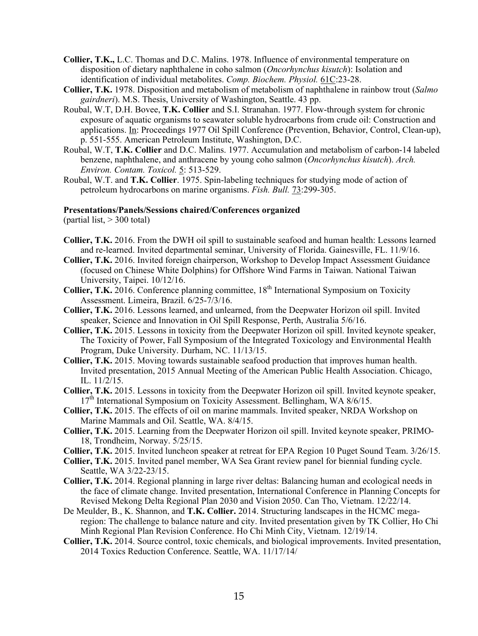- **Collier, T.K.,** L.C. Thomas and D.C. Malins. 1978. Influence of environmental temperature on disposition of dietary naphthalene in coho salmon (*Oncorhynchus kisutch*): Isolation and identification of individual metabolites. *Comp. Biochem. Physiol.* 61C:23-28.
- **Collier, T.K.** 1978. Disposition and metabolism of metabolism of naphthalene in rainbow trout (*Salmo gairdneri*). M.S. Thesis, University of Washington, Seattle. 43 pp.
- Roubal, W.T, D.H. Bovee, **T.K. Collier** and S.I. Stranahan. 1977. Flow-through system for chronic exposure of aquatic organisms to seawater soluble hydrocarbons from crude oil: Construction and applications. In: Proceedings 1977 Oil Spill Conference (Prevention, Behavior, Control, Clean-up), p. 551-555. American Petroleum Institute, Washington, D.C.
- Roubal, W.T, **T.K. Collier** and D.C. Malins. 1977. Accumulation and metabolism of carbon-14 labeled benzene, naphthalene, and anthracene by young coho salmon (*Oncorhynchus kisutch*). *Arch. Environ. Contam. Toxicol.* 5: 513-529.
- Roubal, W.T. and **T.K. Collier**. 1975. Spin-labeling techniques for studying mode of action of petroleum hydrocarbons on marine organisms. *Fish. Bull.* 73:299-305.

#### **Presentations/Panels/Sessions chaired/Conferences organized**

(partial list,  $> 300$  total)

- **Collier, T.K.** 2016. From the DWH oil spill to sustainable seafood and human health: Lessons learned and re-learned. Invited departmental seminar, University of Florida. Gainesville, FL. 11/9/16.
- **Collier, T.K.** 2016. Invited foreign chairperson, Workshop to Develop Impact Assessment Guidance (focused on Chinese White Dolphins) for Offshore Wind Farms in Taiwan. National Taiwan University, Taipei. 10/12/16.
- **Collier, T.K.** 2016. Conference planning committee, 18<sup>th</sup> International Symposium on Toxicity Assessment. Limeira, Brazil. 6/25-7/3/16.
- **Collier, T.K.** 2016. Lessons learned, and unlearned, from the Deepwater Horizon oil spill. Invited speaker, Science and Innovation in Oil Spill Response, Perth, Australia 5/6/16.
- **Collier, T.K.** 2015. Lessons in toxicity from the Deepwater Horizon oil spill. Invited keynote speaker, The Toxicity of Power, Fall Symposium of the Integrated Toxicology and Environmental Health Program, Duke University. Durham, NC. 11/13/15.
- **Collier, T.K.** 2015. Moving towards sustainable seafood production that improves human health. Invited presentation, 2015 Annual Meeting of the American Public Health Association. Chicago, IL. 11/2/15.
- **Collier, T.K.** 2015. Lessons in toxicity from the Deepwater Horizon oil spill. Invited keynote speaker,  $17<sup>th</sup>$  International Symposium on Toxicity Assessment. Bellingham, WA 8/6/15.
- **Collier, T.K.** 2015. The effects of oil on marine mammals. Invited speaker, NRDA Workshop on Marine Mammals and Oil. Seattle, WA. 8/4/15.
- **Collier, T.K.** 2015. Learning from the Deepwater Horizon oil spill. Invited keynote speaker, PRIMO-18, Trondheim, Norway. 5/25/15.
- **Collier, T.K.** 2015. Invited luncheon speaker at retreat for EPA Region 10 Puget Sound Team. 3/26/15.
- **Collier, T.K.** 2015. Invited panel member, WA Sea Grant review panel for biennial funding cycle. Seattle, WA 3/22-23/15.
- **Collier, T.K.** 2014. Regional planning in large river deltas: Balancing human and ecological needs in the face of climate change. Invited presentation, International Conference in Planning Concepts for Revised Mekong Delta Regional Plan 2030 and Vision 2050. Can Tho, Vietnam. 12/22/14.
- De Meulder, B., K. Shannon, and **T.K. Collier.** 2014. Structuring landscapes in the HCMC megaregion: The challenge to balance nature and city. Invited presentation given by TK Collier, Ho Chi Minh Regional Plan Revision Conference. Ho Chi Minh City, Vietnam. 12/19/14.
- **Collier, T.K.** 2014. Source control, toxic chemicals, and biological improvements. Invited presentation, 2014 Toxics Reduction Conference. Seattle, WA. 11/17/14/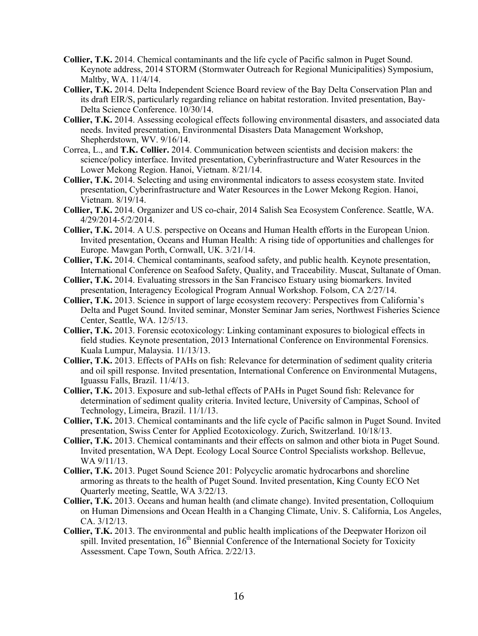- **Collier, T.K.** 2014. Chemical contaminants and the life cycle of Pacific salmon in Puget Sound. Keynote address, 2014 STORM (Stormwater Outreach for Regional Municipalities) Symposium, Maltby, WA. 11/4/14.
- **Collier, T.K.** 2014. Delta Independent Science Board review of the Bay Delta Conservation Plan and its draft EIR/S, particularly regarding reliance on habitat restoration. Invited presentation, Bay-Delta Science Conference. 10/30/14.
- **Collier, T.K.** 2014. Assessing ecological effects following environmental disasters, and associated data needs. Invited presentation, Environmental Disasters Data Management Workshop, Shepherdstown, WV. 9/16/14.
- Correa, L., and **T.K. Collier.** 2014. Communication between scientists and decision makers: the science/policy interface. Invited presentation, Cyberinfrastructure and Water Resources in the Lower Mekong Region. Hanoi, Vietnam. 8/21/14.
- **Collier, T.K.** 2014. Selecting and using environmental indicators to assess ecosystem state. Invited presentation, Cyberinfrastructure and Water Resources in the Lower Mekong Region. Hanoi, Vietnam. 8/19/14.
- **Collier, T.K.** 2014. Organizer and US co-chair, 2014 Salish Sea Ecosystem Conference. Seattle, WA. 4/29/2014-5/2/2014.
- **Collier, T.K.** 2014. A U.S. perspective on Oceans and Human Health efforts in the European Union. Invited presentation, Oceans and Human Health: A rising tide of opportunities and challenges for Europe. Mawgan Porth, Cornwall, UK. 3/21/14.
- **Collier, T.K.** 2014. Chemical contaminants, seafood safety, and public health. Keynote presentation, International Conference on Seafood Safety, Quality, and Traceability. Muscat, Sultanate of Oman.
- **Collier, T.K.** 2014. Evaluating stressors in the San Francisco Estuary using biomarkers. Invited presentation, Interagency Ecological Program Annual Workshop. Folsom, CA 2/27/14.
- **Collier, T.K.** 2013. Science in support of large ecosystem recovery: Perspectives from California's Delta and Puget Sound. Invited seminar, Monster Seminar Jam series, Northwest Fisheries Science Center, Seattle, WA. 12/5/13.
- **Collier, T.K.** 2013. Forensic ecotoxicology: Linking contaminant exposures to biological effects in field studies. Keynote presentation, 2013 International Conference on Environmental Forensics. Kuala Lumpur, Malaysia. 11/13/13.
- **Collier, T.K.** 2013. Effects of PAHs on fish: Relevance for determination of sediment quality criteria and oil spill response. Invited presentation, International Conference on Environmental Mutagens, Iguassu Falls, Brazil. 11/4/13.
- **Collier, T.K.** 2013. Exposure and sub-lethal effects of PAHs in Puget Sound fish: Relevance for determination of sediment quality criteria. Invited lecture, University of Campinas, School of Technology, Limeira, Brazil. 11/1/13.
- **Collier, T.K.** 2013. Chemical contaminants and the life cycle of Pacific salmon in Puget Sound. Invited presentation, Swiss Center for Applied Ecotoxicology. Zurich, Switzerland. 10/18/13.
- **Collier, T.K.** 2013. Chemical contaminants and their effects on salmon and other biota in Puget Sound. Invited presentation, WA Dept. Ecology Local Source Control Specialists workshop. Bellevue, WA 9/11/13.
- **Collier, T.K.** 2013. Puget Sound Science 201: Polycyclic aromatic hydrocarbons and shoreline armoring as threats to the health of Puget Sound. Invited presentation, King County ECO Net Quarterly meeting, Seattle, WA 3/22/13.
- **Collier, T.K.** 2013. Oceans and human health (and climate change). Invited presentation, Colloquium on Human Dimensions and Ocean Health in a Changing Climate, Univ. S. California, Los Angeles, CA. 3/12/13.
- **Collier, T.K.** 2013. The environmental and public health implications of the Deepwater Horizon oil spill. Invited presentation, 16<sup>th</sup> Biennial Conference of the International Society for Toxicity Assessment. Cape Town, South Africa. 2/22/13.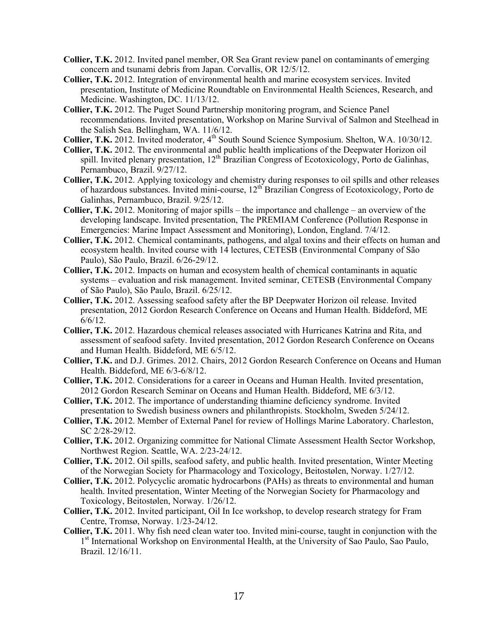- **Collier, T.K.** 2012. Invited panel member, OR Sea Grant review panel on contaminants of emerging concern and tsunami debris from Japan. Corvallis, OR 12/5/12.
- **Collier, T.K.** 2012. Integration of environmental health and marine ecosystem services. Invited presentation, Institute of Medicine Roundtable on Environmental Health Sciences, Research, and Medicine. Washington, DC. 11/13/12.
- **Collier, T.K.** 2012. The Puget Sound Partnership monitoring program, and Science Panel recommendations. Invited presentation, Workshop on Marine Survival of Salmon and Steelhead in the Salish Sea. Bellingham, WA. 11/6/12.
- **Collier, T.K.** 2012. Invited moderator, 4<sup>th</sup> South Sound Science Symposium. Shelton, WA. 10/30/12.
- **Collier, T.K.** 2012. The environmental and public health implications of the Deepwater Horizon oil spill. Invited plenary presentation,  $12^{th}$  Brazilian Congress of Ecotoxicology, Porto de Galinhas, Pernambuco, Brazil. 9/27/12.
- **Collier, T.K.** 2012. Applying toxicology and chemistry during responses to oil spills and other releases of hazardous substances. Invited mini-course, 12th Brazilian Congress of Ecotoxicology, Porto de Galinhas, Pernambuco, Brazil. 9/25/12.
- **Collier, T.K.** 2012. Monitoring of major spills the importance and challenge an overview of the developing landscape. Invited presentation, The PREMIAM Conference (Pollution Response in Emergencies: Marine Impact Assessment and Monitoring), London, England. 7/4/12.
- **Collier, T.K.** 2012. Chemical contaminants, pathogens, and algal toxins and their effects on human and ecosystem health. Invited course with 14 lectures, CETESB (Environmental Company of São Paulo), São Paulo, Brazil. 6/26-29/12.
- **Collier, T.K.** 2012. Impacts on human and ecosystem health of chemical contaminants in aquatic systems – evaluation and risk management. Invited seminar, CETESB (Environmental Company of São Paulo), São Paulo, Brazil. 6/25/12.
- **Collier, T.K.** 2012. Assessing seafood safety after the BP Deepwater Horizon oil release. Invited presentation, 2012 Gordon Research Conference on Oceans and Human Health. Biddeford, ME  $6/6/12$ .
- **Collier, T.K.** 2012. Hazardous chemical releases associated with Hurricanes Katrina and Rita, and assessment of seafood safety. Invited presentation, 2012 Gordon Research Conference on Oceans and Human Health. Biddeford, ME 6/5/12.
- **Collier, T.K.** and D.J. Grimes. 2012. Chairs, 2012 Gordon Research Conference on Oceans and Human Health. Biddeford, ME 6/3-6/8/12.
- **Collier, T.K.** 2012. Considerations for a career in Oceans and Human Health. Invited presentation, 2012 Gordon Research Seminar on Oceans and Human Health. Biddeford, ME 6/3/12.
- **Collier, T.K.** 2012. The importance of understanding thiamine deficiency syndrome. Invited presentation to Swedish business owners and philanthropists. Stockholm, Sweden 5/24/12.
- **Collier, T.K.** 2012. Member of External Panel for review of Hollings Marine Laboratory. Charleston, SC 2/28-29/12.
- **Collier, T.K.** 2012. Organizing committee for National Climate Assessment Health Sector Workshop, Northwest Region. Seattle, WA. 2/23-24/12.
- **Collier, T.K.** 2012. Oil spills, seafood safety, and public health. Invited presentation, Winter Meeting of the Norwegian Society for Pharmacology and Toxicology, Beitostølen, Norway. 1/27/12.
- **Collier, T.K.** 2012. Polycyclic aromatic hydrocarbons (PAHs) as threats to environmental and human health. Invited presentation, Winter Meeting of the Norwegian Society for Pharmacology and Toxicology, Beitostølen, Norway. 1/26/12.
- **Collier, T.K.** 2012. Invited participant, Oil In Ice workshop, to develop research strategy for Fram Centre, Tromsø, Norway. 1/23-24/12.
- **Collier, T.K.** 2011. Why fish need clean water too. Invited mini-course, taught in conjunction with the 1<sup>st</sup> International Workshop on Environmental Health, at the University of Sao Paulo, Sao Paulo, Brazil. 12/16/11.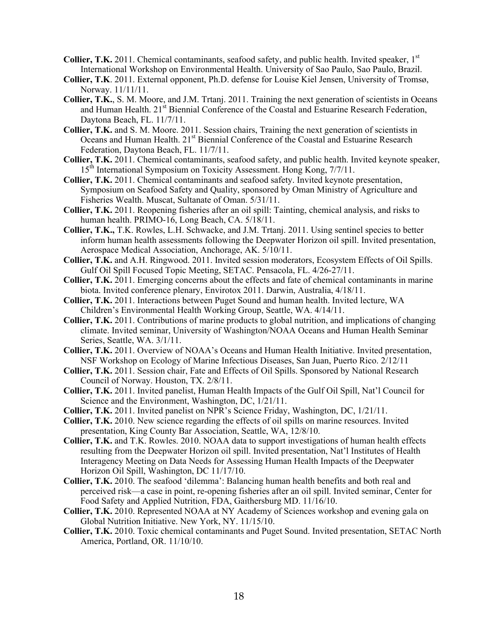- **Collier, T.K.** 2011. Chemical contaminants, seafood safety, and public health. Invited speaker, 1<sup>st</sup> International Workshop on Environmental Health. University of Sao Paulo, Sao Paulo, Brazil.
- **Collier, T.K**. 2011. External opponent, Ph.D. defense for Louise Kiel Jensen, University of Tromsø, Norway. 11/11/11.
- **Collier, T.K.**, S. M. Moore, and J.M. Trtanj. 2011. Training the next generation of scientists in Oceans and Human Health. 21<sup>st</sup> Biennial Conference of the Coastal and Estuarine Research Federation, Daytona Beach, FL. 11/7/11.
- **Collier, T.K.** and S. M. Moore. 2011. Session chairs, Training the next generation of scientists in Oceans and Human Health. 21<sup>st</sup> Biennial Conference of the Coastal and Estuarine Research Federation, Daytona Beach, FL. 11/7/11.
- **Collier, T.K.** 2011. Chemical contaminants, seafood safety, and public health. Invited keynote speaker, 15<sup>th</sup> International Symposium on Toxicity Assessment. Hong Kong, 7/7/11.
- **Collier, T.K.** 2011. Chemical contaminants and seafood safety. Invited keynote presentation, Symposium on Seafood Safety and Quality, sponsored by Oman Ministry of Agriculture and Fisheries Wealth. Muscat, Sultanate of Oman. 5/31/11.
- **Collier, T.K.** 2011. Reopening fisheries after an oil spill: Tainting, chemical analysis, and risks to human health. PRIMO-16, Long Beach, CA. 5/18/11.
- **Collier, T.K.,** T.K. Rowles, L.H. Schwacke, and J.M. Trtanj. 2011. Using sentinel species to better inform human health assessments following the Deepwater Horizon oil spill. Invited presentation, Aerospace Medical Association, Anchorage, AK. 5/10/11.
- **Collier, T.K.** and A.H. Ringwood. 2011. Invited session moderators, Ecosystem Effects of Oil Spills. Gulf Oil Spill Focused Topic Meeting, SETAC. Pensacola, FL. 4/26-27/11.
- **Collier, T.K.** 2011. Emerging concerns about the effects and fate of chemical contaminants in marine biota. Invited conference plenary, Envirotox 2011. Darwin, Australia, 4/18/11.
- **Collier, T.K.** 2011. Interactions between Puget Sound and human health. Invited lecture, WA Children's Environmental Health Working Group, Seattle, WA. 4/14/11.
- **Collier, T.K.** 2011. Contributions of marine products to global nutrition, and implications of changing climate. Invited seminar, University of Washington/NOAA Oceans and Human Health Seminar Series, Seattle, WA. 3/1/11.
- **Collier, T.K.** 2011. Overview of NOAA's Oceans and Human Health Initiative. Invited presentation, NSF Workshop on Ecology of Marine Infectious Diseases, San Juan, Puerto Rico. 2/12/11
- **Collier, T.K.** 2011. Session chair, Fate and Effects of Oil Spills. Sponsored by National Research Council of Norway. Houston, TX. 2/8/11.
- **Collier, T.K.** 2011. Invited panelist, Human Health Impacts of the Gulf Oil Spill, Nat'l Council for Science and the Environment, Washington, DC,  $1/21/11$ .
- **Collier, T.K.** 2011. Invited panelist on NPR's Science Friday, Washington, DC, 1/21/11.
- **Collier, T.K.** 2010. New science regarding the effects of oil spills on marine resources. Invited presentation, King County Bar Association, Seattle, WA, 12/8/10.
- **Collier, T.K.** and T.K. Rowles. 2010. NOAA data to support investigations of human health effects resulting from the Deepwater Horizon oil spill. Invited presentation, Nat'l Institutes of Health Interagency Meeting on Data Needs for Assessing Human Health Impacts of the Deepwater Horizon Oil Spill, Washington, DC 11/17/10.
- **Collier, T.K.** 2010. The seafood 'dilemma': Balancing human health benefits and both real and perceived risk—a case in point, re-opening fisheries after an oil spill. Invited seminar, Center for Food Safety and Applied Nutrition, FDA, Gaithersburg MD. 11/16/10.
- **Collier, T.K.** 2010. Represented NOAA at NY Academy of Sciences workshop and evening gala on Global Nutrition Initiative. New York, NY. 11/15/10.
- **Collier, T.K.** 2010. Toxic chemical contaminants and Puget Sound. Invited presentation, SETAC North America, Portland, OR. 11/10/10.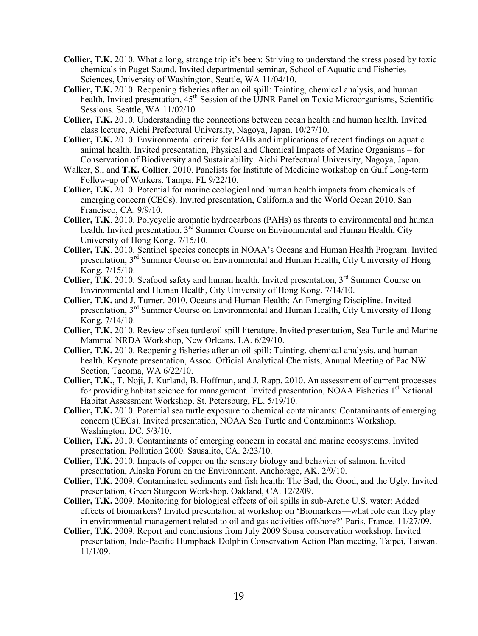- **Collier, T.K.** 2010. What a long, strange trip it's been: Striving to understand the stress posed by toxic chemicals in Puget Sound. Invited departmental seminar, School of Aquatic and Fisheries Sciences, University of Washington, Seattle, WA 11/04/10.
- **Collier, T.K.** 2010. Reopening fisheries after an oil spill: Tainting, chemical analysis, and human health. Invited presentation, 45<sup>th</sup> Session of the UJNR Panel on Toxic Microorganisms, Scientific Sessions. Seattle, WA 11/02/10.
- **Collier, T.K.** 2010. Understanding the connections between ocean health and human health. Invited class lecture, Aichi Prefectural University, Nagoya, Japan. 10/27/10.
- **Collier, T.K.** 2010. Environmental criteria for PAHs and implications of recent findings on aquatic animal health. Invited presentation, Physical and Chemical Impacts of Marine Organisms – for Conservation of Biodiversity and Sustainability. Aichi Prefectural University, Nagoya, Japan.
- Walker, S., and **T.K. Collier**. 2010. Panelists for Institute of Medicine workshop on Gulf Long-term Follow-up of Workers. Tampa, FL 9/22/10.
- **Collier, T.K.** 2010. Potential for marine ecological and human health impacts from chemicals of emerging concern (CECs). Invited presentation, California and the World Ocean 2010. San Francisco, CA. 9/9/10.
- **Collier, T.K**. 2010. Polycyclic aromatic hydrocarbons (PAHs) as threats to environmental and human health. Invited presentation, 3<sup>rd</sup> Summer Course on Environmental and Human Health, City University of Hong Kong. 7/15/10.
- **Collier, T.K**. 2010. Sentinel species concepts in NOAA's Oceans and Human Health Program. Invited presentation, 3<sup>rd</sup> Summer Course on Environmental and Human Health, City University of Hong Kong. 7/15/10.
- **Collier, T.K**. 2010. Seafood safety and human health. Invited presentation, 3<sup>rd</sup> Summer Course on Environmental and Human Health, City University of Hong Kong. 7/14/10.
- **Collier, T.K.** and J. Turner. 2010. Oceans and Human Health: An Emerging Discipline. Invited presentation, 3<sup>rd</sup> Summer Course on Environmental and Human Health, City University of Hong Kong. 7/14/10.
- **Collier, T.K.** 2010. Review of sea turtle/oil spill literature. Invited presentation, Sea Turtle and Marine Mammal NRDA Workshop, New Orleans, LA. 6/29/10.
- **Collier, T.K.** 2010. Reopening fisheries after an oil spill: Tainting, chemical analysis, and human health. Keynote presentation, Assoc. Official Analytical Chemists, Annual Meeting of Pac NW Section, Tacoma, WA 6/22/10.
- **Collier, T.K.**, T. Noji, J. Kurland, B. Hoffman, and J. Rapp. 2010. An assessment of current processes for providing habitat science for management. Invited presentation, NOAA Fisheries 1<sup>st</sup> National Habitat Assessment Workshop. St. Petersburg, FL. 5/19/10.
- **Collier, T.K.** 2010. Potential sea turtle exposure to chemical contaminants: Contaminants of emerging concern (CECs). Invited presentation, NOAA Sea Turtle and Contaminants Workshop. Washington, DC. 5/3/10.
- **Collier, T.K.** 2010. Contaminants of emerging concern in coastal and marine ecosystems. Invited presentation, Pollution 2000. Sausalito, CA. 2/23/10.
- **Collier, T.K.** 2010. Impacts of copper on the sensory biology and behavior of salmon. Invited presentation, Alaska Forum on the Environment. Anchorage, AK. 2/9/10.
- **Collier, T.K.** 2009. Contaminated sediments and fish health: The Bad, the Good, and the Ugly. Invited presentation, Green Sturgeon Workshop. Oakland, CA. 12/2/09.
- **Collier, T.K.** 2009. Monitoring for biological effects of oil spills in sub-Arctic U.S. water: Added effects of biomarkers? Invited presentation at workshop on 'Biomarkers—what role can they play in environmental management related to oil and gas activities offshore?' Paris, France. 11/27/09.
- **Collier, T.K.** 2009. Report and conclusions from July 2009 Sousa conservation workshop. Invited presentation, Indo-Pacific Humpback Dolphin Conservation Action Plan meeting, Taipei, Taiwan. 11/1/09.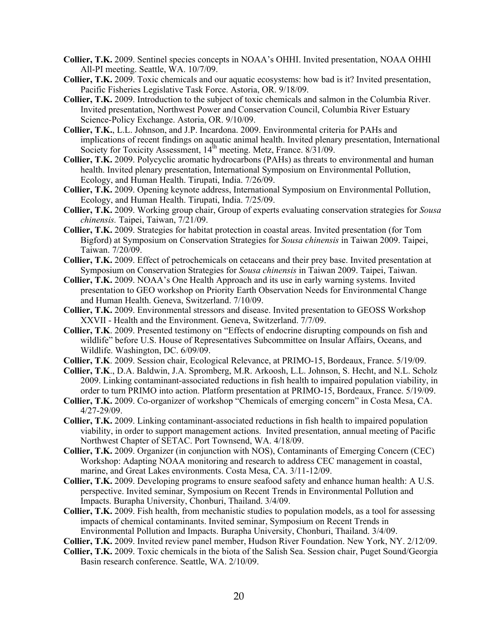- **Collier, T.K.** 2009. Sentinel species concepts in NOAA's OHHI. Invited presentation, NOAA OHHI All-PI meeting. Seattle, WA. 10/7/09.
- **Collier, T.K.** 2009. Toxic chemicals and our aquatic ecosystems: how bad is it? Invited presentation, Pacific Fisheries Legislative Task Force. Astoria, OR. 9/18/09.
- **Collier, T.K.** 2009. Introduction to the subject of toxic chemicals and salmon in the Columbia River. Invited presentation, Northwest Power and Conservation Council, Columbia River Estuary Science-Policy Exchange. Astoria, OR. 9/10/09.
- **Collier, T.K.**, L.L. Johnson, and J.P. Incardona. 2009. Environmental criteria for PAHs and implications of recent findings on aquatic animal health. Invited plenary presentation, International Society for Toxicity Assessment, 14<sup>th</sup> meeting. Metz, France. 8/31/09.
- **Collier, T.K.** 2009. Polycyclic aromatic hydrocarbons (PAHs) as threats to environmental and human health. Invited plenary presentation, International Symposium on Environmental Pollution, Ecology, and Human Health. Tirupati, India. 7/26/09.
- **Collier, T.K.** 2009. Opening keynote address, International Symposium on Environmental Pollution, Ecology, and Human Health. Tirupati, India. 7/25/09.
- **Collier, T.K.** 2009. Working group chair, Group of experts evaluating conservation strategies for *Sousa chinensis.* Taipei, Taiwan, 7/21/09.
- **Collier, T.K.** 2009. Strategies for habitat protection in coastal areas. Invited presentation (for Tom Bigford) at Symposium on Conservation Strategies for *Sousa chinensis* in Taiwan 2009. Taipei, Taiwan. 7/20/09.
- **Collier, T.K.** 2009. Effect of petrochemicals on cetaceans and their prey base. Invited presentation at Symposium on Conservation Strategies for *Sousa chinensis* in Taiwan 2009. Taipei, Taiwan.
- **Collier, T.K.** 2009. NOAA's One Health Approach and its use in early warning systems. Invited presentation to GEO workshop on Priority Earth Observation Needs for Environmental Change and Human Health. Geneva, Switzerland. 7/10/09.
- **Collier, T.K.** 2009. Environmental stressors and disease. Invited presentation to GEOSS Workshop XXVII - Health and the Environment. Geneva, Switzerland. 7/7/09.
- **Collier, T.K**. 2009. Presented testimony on "Effects of endocrine disrupting compounds on fish and wildlife" before U.S. House of Representatives Subcommittee on Insular Affairs, Oceans, and Wildlife. Washington, DC. 6/09/09.
- **Collier, T.K**. 2009. Session chair, Ecological Relevance, at PRIMO-15, Bordeaux, France. 5/19/09.
- **Collier, T.K**., D.A. Baldwin, J.A. Spromberg, M.R. Arkoosh, L.L. Johnson, S. Hecht, and N.L. Scholz 2009. Linking contaminant-associated reductions in fish health to impaired population viability, in order to turn PRIMO into action. Platform presentation at PRIMO-15, Bordeaux, France. 5/19/09.
- **Collier, T.K.** 2009. Co-organizer of workshop "Chemicals of emerging concern" in Costa Mesa, CA. 4/27-29/09.
- **Collier, T.K.** 2009. Linking contaminant-associated reductions in fish health to impaired population viability, in order to support management actions. Invited presentation, annual meeting of Pacific Northwest Chapter of SETAC. Port Townsend, WA. 4/18/09.
- **Collier, T.K.** 2009. Organizer (in conjunction with NOS), Contaminants of Emerging Concern (CEC) Workshop: Adapting NOAA monitoring and research to address CEC management in coastal, marine, and Great Lakes environments. Costa Mesa, CA. 3/11-12/09.
- **Collier, T.K.** 2009. Developing programs to ensure seafood safety and enhance human health: A U.S. perspective. Invited seminar, Symposium on Recent Trends in Environmental Pollution and Impacts. Burapha University, Chonburi, Thailand. 3/4/09.
- **Collier, T.K.** 2009. Fish health, from mechanistic studies to population models, as a tool for assessing impacts of chemical contaminants. Invited seminar, Symposium on Recent Trends in Environmental Pollution and Impacts. Burapha University, Chonburi, Thailand. 3/4/09.
- **Collier, T.K.** 2009. Invited review panel member, Hudson River Foundation. New York, NY. 2/12/09.
- **Collier, T.K.** 2009. Toxic chemicals in the biota of the Salish Sea. Session chair, Puget Sound/Georgia Basin research conference. Seattle, WA. 2/10/09.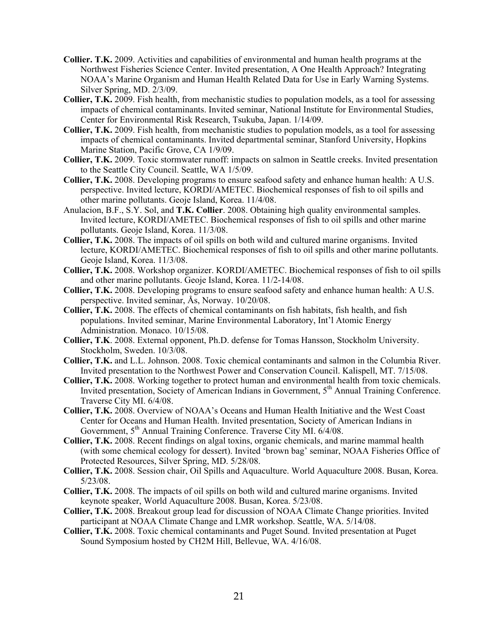- **Collier. T.K.** 2009. Activities and capabilities of environmental and human health programs at the Northwest Fisheries Science Center. Invited presentation, A One Health Approach? Integrating NOAA's Marine Organism and Human Health Related Data for Use in Early Warning Systems. Silver Spring, MD. 2/3/09.
- **Collier, T.K.** 2009. Fish health, from mechanistic studies to population models, as a tool for assessing impacts of chemical contaminants. Invited seminar, National Institute for Environmental Studies, Center for Environmental Risk Research, Tsukuba, Japan. 1/14/09.
- **Collier, T.K.** 2009. Fish health, from mechanistic studies to population models, as a tool for assessing impacts of chemical contaminants. Invited departmental seminar, Stanford University, Hopkins Marine Station, Pacific Grove, CA 1/9/09.
- **Collier, T.K.** 2009. Toxic stormwater runoff: impacts on salmon in Seattle creeks. Invited presentation to the Seattle City Council. Seattle, WA 1/5/09.
- **Collier, T.K.** 2008. Developing programs to ensure seafood safety and enhance human health: A U.S. perspective. Invited lecture, KORDI/AMETEC. Biochemical responses of fish to oil spills and other marine pollutants. Geoje Island, Korea. 11/4/08.
- Anulacion, B.F., S.Y. Sol, and **T.K. Collier**. 2008. Obtaining high quality environmental samples. Invited lecture, KORDI/AMETEC. Biochemical responses of fish to oil spills and other marine pollutants. Geoje Island, Korea. 11/3/08.
- **Collier, T.K.** 2008. The impacts of oil spills on both wild and cultured marine organisms. Invited lecture, KORDI/AMETEC. Biochemical responses of fish to oil spills and other marine pollutants. Geoje Island, Korea. 11/3/08.
- **Collier, T.K.** 2008. Workshop organizer. KORDI/AMETEC. Biochemical responses of fish to oil spills and other marine pollutants. Geoje Island, Korea. 11/2-14/08.
- **Collier, T.K.** 2008. Developing programs to ensure seafood safety and enhance human health: A U.S. perspective. Invited seminar, Ås, Norway. 10/20/08.
- **Collier, T.K.** 2008. The effects of chemical contaminants on fish habitats, fish health, and fish populations. Invited seminar, Marine Environmental Laboratory, Int'l Atomic Energy Administration. Monaco. 10/15/08.
- **Collier, T.K**. 2008. External opponent, Ph.D. defense for Tomas Hansson, Stockholm University. Stockholm, Sweden. 10/3/08.
- **Collier, T.K.** and L.L. Johnson. 2008. Toxic chemical contaminants and salmon in the Columbia River. Invited presentation to the Northwest Power and Conservation Council. Kalispell, MT. 7/15/08.
- **Collier, T.K.** 2008. Working together to protect human and environmental health from toxic chemicals. Invited presentation, Society of American Indians in Government, 5<sup>th</sup> Annual Training Conference. Traverse City MI. 6/4/08.
- **Collier, T.K.** 2008. Overview of NOAA's Oceans and Human Health Initiative and the West Coast Center for Oceans and Human Health. Invited presentation, Society of American Indians in Government, 5<sup>th</sup> Annual Training Conference. Traverse City MI. 6/4/08.
- **Collier, T.K.** 2008. Recent findings on algal toxins, organic chemicals, and marine mammal health (with some chemical ecology for dessert). Invited 'brown bag' seminar, NOAA Fisheries Office of Protected Resources, Silver Spring, MD. 5/28/08.
- **Collier, T.K.** 2008. Session chair, Oil Spills and Aquaculture. World Aquaculture 2008. Busan, Korea. 5/23/08.
- **Collier, T.K.** 2008. The impacts of oil spills on both wild and cultured marine organisms. Invited keynote speaker, World Aquaculture 2008. Busan, Korea. 5/23/08.
- **Collier, T.K.** 2008. Breakout group lead for discussion of NOAA Climate Change priorities. Invited participant at NOAA Climate Change and LMR workshop. Seattle, WA. 5/14/08.
- **Collier, T.K.** 2008. Toxic chemical contaminants and Puget Sound. Invited presentation at Puget Sound Symposium hosted by CH2M Hill, Bellevue, WA. 4/16/08.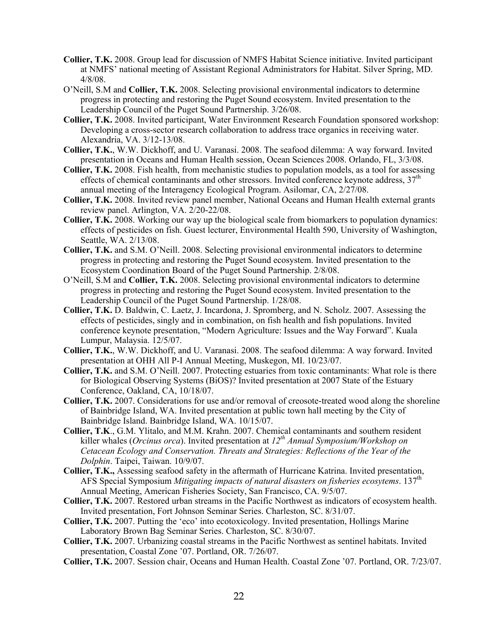- **Collier, T.K.** 2008. Group lead for discussion of NMFS Habitat Science initiative. Invited participant at NMFS' national meeting of Assistant Regional Administrators for Habitat. Silver Spring, MD. 4/8/08.
- O'Neill, S.M and **Collier, T.K.** 2008. Selecting provisional environmental indicators to determine progress in protecting and restoring the Puget Sound ecosystem. Invited presentation to the Leadership Council of the Puget Sound Partnership. 3/26/08.
- **Collier, T.K.** 2008. Invited participant, Water Environment Research Foundation sponsored workshop: Developing a cross-sector research collaboration to address trace organics in receiving water. Alexandria, VA. 3/12-13/08.
- **Collier, T.K.**, W.W. Dickhoff, and U. Varanasi. 2008. The seafood dilemma: A way forward. Invited presentation in Oceans and Human Health session, Ocean Sciences 2008. Orlando, FL, 3/3/08.
- **Collier, T.K.** 2008. Fish health, from mechanistic studies to population models, as a tool for assessing effects of chemical contaminants and other stressors. Invited conference keynote address,  $37<sup>th</sup>$ annual meeting of the Interagency Ecological Program. Asilomar, CA, 2/27/08.
- **Collier, T.K.** 2008. Invited review panel member, National Oceans and Human Health external grants review panel. Arlington, VA. 2/20-22/08.
- **Collier, T.K.** 2008. Working our way up the biological scale from biomarkers to population dynamics: effects of pesticides on fish. Guest lecturer, Environmental Health 590, University of Washington, Seattle, WA. 2/13/08.
- **Collier, T.K.** and S.M. O'Neill. 2008. Selecting provisional environmental indicators to determine progress in protecting and restoring the Puget Sound ecosystem. Invited presentation to the Ecosystem Coordination Board of the Puget Sound Partnership. 2/8/08.
- O'Neill, S.M and **Collier, T.K.** 2008. Selecting provisional environmental indicators to determine progress in protecting and restoring the Puget Sound ecosystem. Invited presentation to the Leadership Council of the Puget Sound Partnership. 1/28/08.
- **Collier, T.K.** D. Baldwin, C. Laetz, J. Incardona, J. Spromberg, and N. Scholz. 2007. Assessing the effects of pesticides, singly and in combination, on fish health and fish populations. Invited conference keynote presentation, "Modern Agriculture: Issues and the Way Forward". Kuala Lumpur, Malaysia. 12/5/07.
- **Collier, T.K.**, W.W. Dickhoff, and U. Varanasi. 2008. The seafood dilemma: A way forward. Invited presentation at OHH All P-I Annual Meeting, Muskegon, MI. 10/23/07.
- **Collier, T.K.** and S.M. O'Neill. 2007. Protecting estuaries from toxic contaminants: What role is there for Biological Observing Systems (BiOS)? Invited presentation at 2007 State of the Estuary Conference, Oakland, CA, 10/18/07.
- **Collier, T.K.** 2007. Considerations for use and/or removal of creosote-treated wood along the shoreline of Bainbridge Island, WA. Invited presentation at public town hall meeting by the City of Bainbridge Island. Bainbridge Island, WA. 10/15/07.
- **Collier, T.K**., G.M. Ylitalo, and M.M. Krahn. 2007. Chemical contaminants and southern resident killer whales (*Orcinus orca*). Invited presentation at *12th Annual Symposium/Workshop on Cetacean Ecology and Conservation. Threats and Strategies: Reflections of the Year of the Dolphin*. Taipei, Taiwan. 10/9/07.
- **Collier, T.K.,** Assessing seafood safety in the aftermath of Hurricane Katrina. Invited presentation, AFS Special Symposium *Mitigating impacts of natural disasters on fisheries ecosytems*. 137th Annual Meeting, American Fisheries Society, San Francisco, CA. 9/5/07.
- **Collier, T.K.** 2007. Restored urban streams in the Pacific Northwest as indicators of ecosystem health. Invited presentation, Fort Johnson Seminar Series. Charleston, SC. 8/31/07.
- **Collier, T.K.** 2007. Putting the 'eco' into ecotoxicology. Invited presentation, Hollings Marine Laboratory Brown Bag Seminar Series. Charleston, SC. 8/30/07.
- **Collier, T.K.** 2007. Urbanizing coastal streams in the Pacific Northwest as sentinel habitats. Invited presentation, Coastal Zone '07. Portland, OR. 7/26/07.
- **Collier, T.K.** 2007. Session chair, Oceans and Human Health. Coastal Zone '07. Portland, OR. 7/23/07.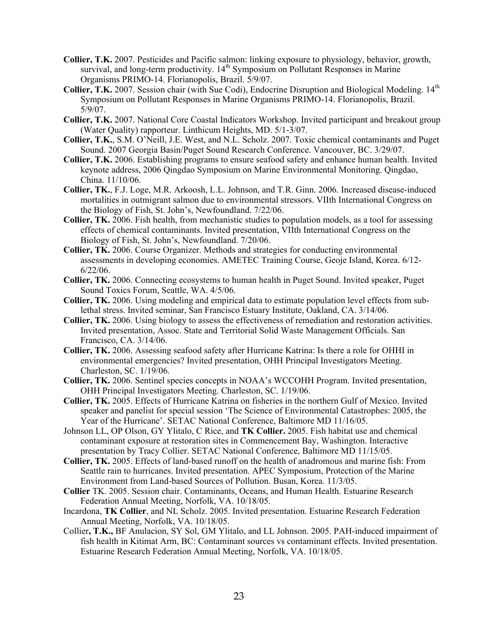- **Collier, T.K.** 2007. Pesticides and Pacific salmon: linking exposure to physiology, behavior, growth, survival, and long-term productivity. 14<sup>th</sup> Symposium on Pollutant Responses in Marine Organisms PRIMO-14. Florianopolis, Brazil. 5/9/07.
- **Collier, T.K.** 2007. Session chair (with Sue Codi), Endocrine Disruption and Biological Modeling. 14th Symposium on Pollutant Responses in Marine Organisms PRIMO-14. Florianopolis, Brazil. 5/9/07.
- **Collier, T.K.** 2007. National Core Coastal Indicators Workshop. Invited participant and breakout group (Water Quality) rapporteur. Linthicum Heights, MD. 5/1-3/07.
- **Collier, T.K.**, S.M. O'Neill, J.E. West, and N.L. Scholz. 2007. Toxic chemical contaminants and Puget Sound. 2007 Georgia Basin/Puget Sound Research Conference. Vancouver, BC. 3/29/07.
- **Collier, T.K.** 2006. Establishing programs to ensure seafood safety and enhance human health. Invited keynote address, 2006 Qingdao Symposium on Marine Environmental Monitoring. Qingdao, China. 11/10/06.
- **Collier, TK.**, F.J. Loge, M.R. Arkoosh, L.L. Johnson, and T.R. Ginn. 2006. Increased disease-induced mortalities in outmigrant salmon due to environmental stressors. VIIth International Congress on the Biology of Fish, St. John's, Newfoundland. 7/22/06.
- **Collier, TK.** 2006. Fish health, from mechanistic studies to population models, as a tool for assessing effects of chemical contaminants. Invited presentation, VIIth International Congress on the Biology of Fish, St. John's, Newfoundland. 7/20/06.
- **Collier, TK.** 2006. Course Organizer. Methods and strategies for conducting environmental assessments in developing economies. AMETEC Training Course, Geoje Island, Korea. 6/12- 6/22/06.
- **Collier, TK.** 2006. Connecting ecosystems to human health in Puget Sound. Invited speaker, Puget Sound Toxics Forum, Seattle, WA. 4/5/06.
- **Collier, TK.** 2006. Using modeling and empirical data to estimate population level effects from sublethal stress. Invited seminar, San Francisco Estuary Institute, Oakland, CA. 3/14/06.
- **Collier, TK.** 2006. Using biology to assess the effectiveness of remediation and restoration activities. Invited presentation, Assoc. State and Territorial Solid Waste Management Officials. San Francisco, CA. 3/14/06.
- **Collier, TK.** 2006. Assessing seafood safety after Hurricane Katrina: Is there a role for OHHI in environmental emergencies? Invited presentation, OHH Principal Investigators Meeting. Charleston, SC. 1/19/06.
- **Collier, TK.** 2006. Sentinel species concepts in NOAA's WCCOHH Program. Invited presentation, OHH Principal Investigators Meeting. Charleston, SC. 1/19/06.
- **Collier, TK.** 2005. Effects of Hurricane Katrina on fisheries in the northern Gulf of Mexico. Invited speaker and panelist for special session 'The Science of Environmental Catastrophes: 2005, the Year of the Hurricane'. SETAC National Conference, Baltimore MD 11/16/05.
- Johnson LL, OP Olson, GY Ylitalo, C Rice, and **TK Collier.** 2005. Fish habitat use and chemical contaminant exposure at restoration sites in Commencement Bay, Washington. Interactive presentation by Tracy Collier. SETAC National Conference, Baltimore MD 11/15/05.
- **Collier, TK.** 2005. Effects of land-based runoff on the health of anadromous and marine fish: From Seattle rain to hurricanes. Invited presentation. APEC Symposium, Protection of the Marine Environment from Land-based Sources of Pollution. Busan, Korea. 11/3/05.
- **Collier** TK. 2005. Session chair. Contaminants, Oceans, and Human Health. Estuarine Research Federation Annual Meeting, Norfolk, VA. 10/18/05.
- Incardona, **TK Collier**, and NL Scholz. 2005. Invited presentation. Estuarine Research Federation Annual Meeting, Norfolk, VA. 10/18/05.
- Collier**, T.K.,** BF Anulacion, SY Sol, GM Ylitalo, and LL Johnson. 2005. PAH-induced impairment of fish health in Kitimat Arm, BC: Contaminant sources vs contaminant effects. Invited presentation. Estuarine Research Federation Annual Meeting, Norfolk, VA. 10/18/05.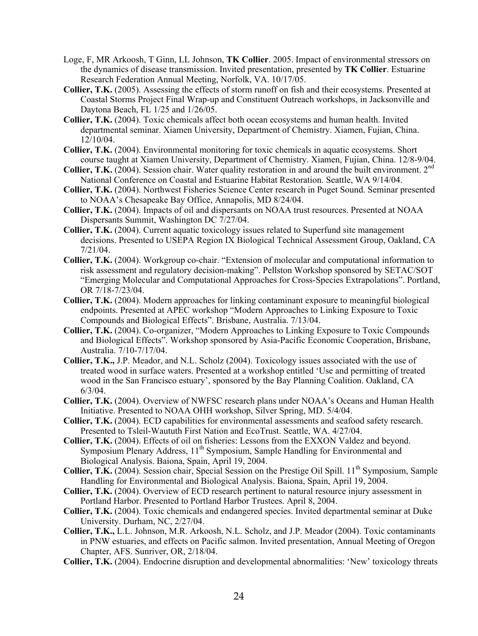- Loge, F, MR Arkoosh, T Ginn, LL Johnson, **TK Collier**. 2005. Impact of environmental stressors on the dynamics of disease transmission. Invited presentation, presented by **TK Collier**. Estuarine Research Federation Annual Meeting, Norfolk, VA. 10/17/05.
- **Collier, T.K.** (2005). Assessing the effects of storm runoff on fish and their ecosystems. Presented at Coastal Storms Project Final Wrap-up and Constituent Outreach workshops, in Jacksonville and Daytona Beach, FL 1/25 and 1/26/05.
- **Collier, T.K.** (2004). Toxic chemicals affect both ocean ecosystems and human health. Invited departmental seminar. Xiamen University, Department of Chemistry. Xiamen, Fujian, China. 12/10/04.
- **Collier, T.K.** (2004). Environmental monitoring for toxic chemicals in aquatic ecosystems. Short course taught at Xiamen University, Department of Chemistry. Xiamen, Fujian, China. 12/8-9/04.
- **Collier, T.K.** (2004). Session chair. Water quality restoration in and around the built environment. 2<sup>nd</sup> National Conference on Coastal and Estuarine Habitat Restoration. Seattle, WA 9/14/04.
- **Collier, T.K.** (2004). Northwest Fisheries Science Center research in Puget Sound. Seminar presented to NOAA's Chesapeake Bay Office, Annapolis, MD 8/24/04.
- **Collier, T.K.** (2004). Impacts of oil and dispersants on NOAA trust resources. Presented at NOAA Dispersants Summit, Washington DC 7/27/04.
- **Collier, T.K.** (2004). Current aquatic toxicology issues related to Superfund site management decisions. Presented to USEPA Region IX Biological Technical Assessment Group, Oakland, CA 7/21/04.
- **Collier, T.K.** (2004). Workgroup co-chair. "Extension of molecular and computational information to risk assessment and regulatory decision-making". Pellston Workshop sponsored by SETAC/SOT "Emerging Molecular and Computational Approaches for Cross-Species Extrapolations". Portland, OR 7/18-7/23/04.
- **Collier, T.K.** (2004). Modern approaches for linking contaminant exposure to meaningful biological endpoints. Presented at APEC workshop "Modern Approaches to Linking Exposure to Toxic Compounds and Biological Effects". Brisbane, Australia. 7/13/04.
- **Collier, T.K.** (2004). Co-organizer, "Modern Approaches to Linking Exposure to Toxic Compounds and Biological Effects". Workshop sponsored by Asia-Pacific Economic Cooperation, Brisbane, Australia. 7/10-7/17/04.
- **Collier, T.K.,** J.P. Meador, and N.L. Scholz (2004). Toxicology issues associated with the use of treated wood in surface waters. Presented at a workshop entitled 'Use and permitting of treated wood in the San Francisco estuary', sponsored by the Bay Planning Coalition. Oakland, CA 6/3/04.
- **Collier, T.K.** (2004). Overview of NWFSC research plans under NOAA's Oceans and Human Health Initiative. Presented to NOAA OHH workshop, Silver Spring, MD. 5/4/04.
- **Collier, T.K.** (2004). ECD capabilities for environmental assessments and seafood safety research. Presented to Tsleil-Waututh First Nation and EcoTrust. Seattle, WA. 4/27/04.
- **Collier, T.K.** (2004). Effects of oil on fisheries: Lessons from the EXXON Valdez and beyond. Symposium Plenary Address, 11<sup>th</sup> Symposium, Sample Handling for Environmental and Biological Analysis. Baiona, Spain, April 19, 2004.
- **Collier, T.K.** (2004). Session chair, Special Session on the Prestige Oil Spill. 11<sup>th</sup> Symposium, Sample Handling for Environmental and Biological Analysis. Baiona, Spain, April 19, 2004.
- **Collier, T.K.** (2004). Overview of ECD research pertinent to natural resource injury assessment in Portland Harbor. Presented to Portland Harbor Trustees. April 8, 2004.
- **Collier, T.K.** (2004). Toxic chemicals and endangered species. Invited departmental seminar at Duke University. Durham, NC, 2/27/04.
- **Collier, T.K.,** L.L. Johnson, M.R. Arkoosh, N.L. Scholz, and J.P. Meador (2004). Toxic contaminants in PNW estuaries, and effects on Pacific salmon. Invited presentation, Annual Meeting of Oregon Chapter, AFS. Sunriver, OR, 2/18/04.
- **Collier, T.K.** (2004). Endocrine disruption and developmental abnormalities: 'New' toxicology threats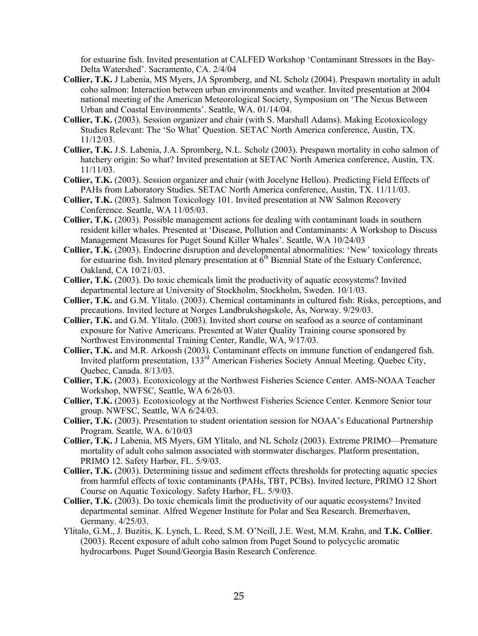for estuarine fish. Invited presentation at CALFED Workshop 'Contaminant Stressors in the Bay-Delta Watershed'. Sacramento, CA. 2/4/04

- **Collier, T.K.** J Labenia, MS Myers, JA Spromberg, and NL Scholz (2004). Prespawn mortality in adult coho salmon: Interaction between urban environments and weather. Invited presentation at 2004 national meeting of the American Meteorological Society, Symposium on 'The Nexus Between Urban and Coastal Environments'. Seattle, WA. 01/14/04.
- **Collier, T.K.** (2003). Session organizer and chair (with S. Marshall Adams). Making Ecotoxicology Studies Relevant: The 'So What' Question. SETAC North America conference, Austin, TX. 11/12/03.
- **Collier, T.K.** J.S. Labenia, J.A. Spromberg, N.L. Scholz (2003). Prespawn mortality in coho salmon of hatchery origin: So what? Invited presentation at SETAC North America conference, Austin, TX. 11/11/03.
- **Collier, T.K.** (2003). Session organizer and chair (with Jocelyne Hellou). Predicting Field Effects of PAHs from Laboratory Studies. SETAC North America conference, Austin, TX. 11/11/03.
- **Collier, T.K.** (2003). Salmon Toxicology 101. Invited presentation at NW Salmon Recovery Conference. Seattle, WA 11/05/03.
- **Collier, T.K.** (2003). Possible management actions for dealing with contaminant loads in southern resident killer whales. Presented at 'Disease, Pollution and Contaminants: A Workshop to Discuss Management Measures for Puget Sound Killer Whales'. Seattle, WA 10/24/03
- **Collier, T.K.** (2003). Endocrine disruption and developmental abnormalities: 'New' toxicology threats for estuarine fish. Invited plenary presentation at  $\vec{6}^{\text{th}}$  Biennial State of the Estuary Conference, Oakland, CA 10/21/03.
- **Collier, T.K.** (2003). Do toxic chemicals limit the productivity of aquatic ecosystems? Invited departmental lecture at University of Stockholm, Stockholm, Sweden. 10/1/03.
- **Collier, T.K.** and G.M. Ylitalo. (2003). Chemical contaminants in cultured fish: Risks, perceptions, and precautions. Invited lecture at Norges Landbrukshøgskole, Ås, Norway. 9/29/03.
- **Collier, T.K.** and G.M. Ylitalo. (2003). Invited short course on seafood as a source of contaminant exposure for Native Americans. Presented at Water Quality Training course sponsored by Northwest Environmental Training Center, Randle, WA, 9/17/03.
- **Collier, T.K.** and M.R. Arkoosh (2003). Contaminant effects on immune function of endangered fish. Invited platform presentation, 133<sup>rd</sup> American Fisheries Society Annual Meeting. Quebec City, Quebec, Canada. 8/13/03.
- **Collier, T.K.** (2003). Ecotoxicology at the Northwest Fisheries Science Center. AMS-NOAA Teacher Workshop, NWFSC, Seattle, WA 6/26/03.
- **Collier, T.K.** (2003). Ecotoxicology at the Northwest Fisheries Science Center. Kenmore Senior tour group. NWFSC, Seattle, WA 6/24/03.
- **Collier, T.K.** (2003). Presentation to student orientation session for NOAA's Educational Partnership Program. Seattle, WA. 6/10/03
- **Collier, T.K.** J Labenia, MS Myers, GM Ylitalo, and NL Scholz (2003). Extreme PRIMO—Premature mortality of adult coho salmon associated with stormwater discharges. Platform presentation, PRIMO 12. Safety Harbor, FL. 5/9/03.
- **Collier, T.K.** (2003). Determining tissue and sediment effects thresholds for protecting aquatic species from harmful effects of toxic contaminants (PAHs, TBT, PCBs). Invited lecture, PRIMO 12 Short Course on Aquatic Toxicology. Safety Harbor, FL. 5/9/03.
- **Collier, T.K.** (2003). Do toxic chemicals limit the productivity of our aquatic ecosystems? Invited departmental seminar. Alfred Wegener Institute for Polar and Sea Research. Bremerhaven, Germany. 4/25/03.
- Ylitalo, G.M., J. Buzitis, K. Lynch, L. Reed, S.M. O'Neill, J.E. West, M.M. Krahn, and **T.K. Collier**. (2003). Recent exposure of adult coho salmon from Puget Sound to polycyclic aromatic hydrocarbons. Puget Sound/Georgia Basin Research Conference.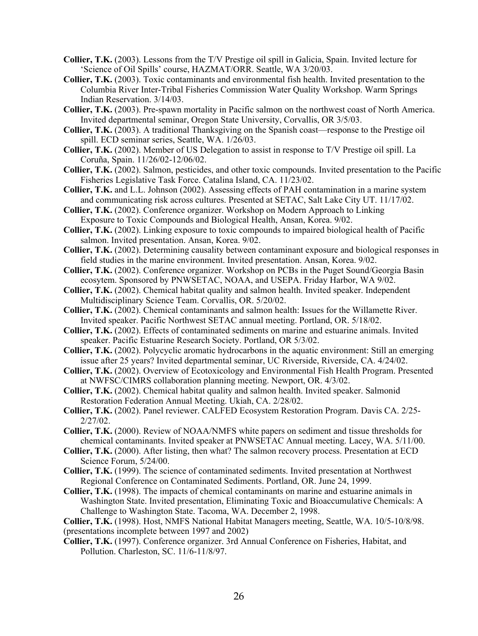- **Collier, T.K.** (2003). Lessons from the T/V Prestige oil spill in Galicia, Spain. Invited lecture for 'Science of Oil Spills' course, HAZMAT/ORR. Seattle, WA 3/20/03.
- **Collier, T.K.** (2003). Toxic contaminants and environmental fish health. Invited presentation to the Columbia River Inter-Tribal Fisheries Commission Water Quality Workshop. Warm Springs Indian Reservation. 3/14/03.
- **Collier, T.K.** (2003). Pre-spawn mortality in Pacific salmon on the northwest coast of North America. Invited departmental seminar, Oregon State University, Corvallis, OR 3/5/03.
- **Collier, T.K.** (2003). A traditional Thanksgiving on the Spanish coast—response to the Prestige oil spill. ECD seminar series, Seattle, WA. 1/26/03.
- **Collier, T.K.** (2002). Member of US Delegation to assist in response to T/V Prestige oil spill. La Coruña, Spain. 11/26/02-12/06/02.
- **Collier, T.K.** (2002). Salmon, pesticides, and other toxic compounds. Invited presentation to the Pacific Fisheries Legislative Task Force. Catalina Island, CA. 11/23/02.
- **Collier, T.K.** and L.L. Johnson (2002). Assessing effects of PAH contamination in a marine system and communicating risk across cultures. Presented at SETAC, Salt Lake City UT. 11/17/02.
- **Collier, T.K.** (2002). Conference organizer. Workshop on Modern Approach to Linking Exposure to Toxic Compounds and Biological Health, Ansan, Korea. 9/02.
- **Collier, T.K.** (2002). Linking exposure to toxic compounds to impaired biological health of Pacific salmon. Invited presentation. Ansan, Korea. 9/02.
- **Collier, T.K.** (2002). Determining causality between contaminant exposure and biological responses in field studies in the marine environment. Invited presentation. Ansan, Korea. 9/02.
- **Collier, T.K.** (2002). Conference organizer. Workshop on PCBs in the Puget Sound/Georgia Basin ecosytem. Sponsored by PNWSETAC, NOAA, and USEPA. Friday Harbor, WA 9/02.
- **Collier, T.K.** (2002). Chemical habitat quality and salmon health. Invited speaker. Independent Multidisciplinary Science Team. Corvallis, OR. 5/20/02.
- **Collier, T.K.** (2002). Chemical contaminants and salmon health: Issues for the Willamette River. Invited speaker. Pacific Northwest SETAC annual meeting. Portland, OR. 5/18/02.
- **Collier, T.K.** (2002). Effects of contaminated sediments on marine and estuarine animals. Invited speaker. Pacific Estuarine Research Society. Portland, OR 5/3/02.
- **Collier, T.K.** (2002). Polycyclic aromatic hydrocarbons in the aquatic environment: Still an emerging issue after 25 years? Invited departmental seminar, UC Riverside, Riverside, CA. 4/24/02.
- **Collier, T.K.** (2002). Overview of Ecotoxicology and Environmental Fish Health Program. Presented at NWFSC/CIMRS collaboration planning meeting. Newport, OR. 4/3/02.
- **Collier, T.K.** (2002). Chemical habitat quality and salmon health. Invited speaker. Salmonid Restoration Federation Annual Meeting. Ukiah, CA. 2/28/02.
- **Collier, T.K.** (2002). Panel reviewer. CALFED Ecosystem Restoration Program. Davis CA. 2/25- 2/27/02.
- **Collier, T.K.** (2000). Review of NOAA/NMFS white papers on sediment and tissue thresholds for chemical contaminants. Invited speaker at PNWSETAC Annual meeting. Lacey, WA. 5/11/00.
- **Collier, T.K.** (2000). After listing, then what? The salmon recovery process. Presentation at ECD Science Forum, 5/24/00.
- **Collier, T.K.** (1999). The science of contaminated sediments. Invited presentation at Northwest Regional Conference on Contaminated Sediments. Portland, OR. June 24, 1999.
- **Collier, T.K.** (1998). The impacts of chemical contaminants on marine and estuarine animals in Washington State. Invited presentation, Eliminating Toxic and Bioaccumulative Chemicals: A Challenge to Washington State. Tacoma, WA. December 2, 1998.

**Collier, T.K.** (1998). Host, NMFS National Habitat Managers meeting, Seattle, WA. 10/5-10/8/98. (presentations incomplete between 1997 and 2002)

**Collier, T.K.** (1997). Conference organizer. 3rd Annual Conference on Fisheries, Habitat, and Pollution. Charleston, SC. 11/6-11/8/97.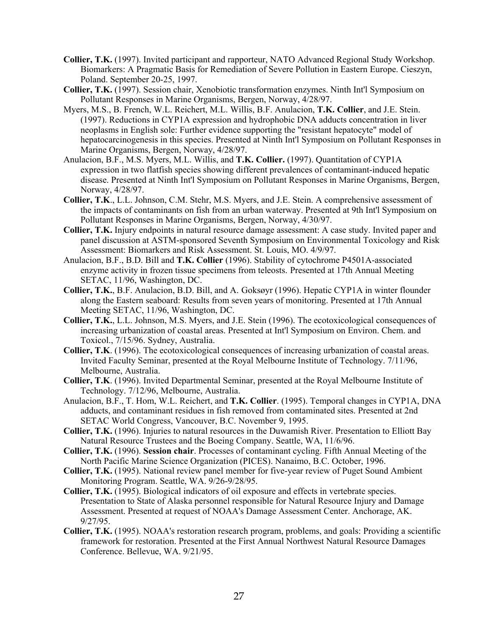- **Collier, T.K.** (1997). Invited participant and rapporteur, NATO Advanced Regional Study Workshop. Biomarkers: A Pragmatic Basis for Remediation of Severe Pollution in Eastern Europe. Cieszyn, Poland. September 20-25, 1997.
- **Collier, T.K.** (1997). Session chair, Xenobiotic transformation enzymes. Ninth Int'l Symposium on Pollutant Responses in Marine Organisms, Bergen, Norway, 4/28/97.
- Myers, M.S., B. French, W.L. Reichert, M.L. Willis, B.F. Anulacion, **T.K. Collier**, and J.E. Stein. (1997). Reductions in CYP1A expression and hydrophobic DNA adducts concentration in liver neoplasms in English sole: Further evidence supporting the "resistant hepatocyte" model of hepatocarcinogenesis in this species. Presented at Ninth Int'l Symposium on Pollutant Responses in Marine Organisms, Bergen, Norway, 4/28/97.
- Anulacion, B.F., M.S. Myers, M.L. Willis, and **T.K. Collier.** (1997). Quantitation of CYP1A expression in two flatfish species showing different prevalences of contaminant-induced hepatic disease. Presented at Ninth Int'l Symposium on Pollutant Responses in Marine Organisms, Bergen, Norway, 4/28/97.
- **Collier, T.K**., L.L. Johnson, C.M. Stehr, M.S. Myers, and J.E. Stein. A comprehensive assessment of the impacts of contaminants on fish from an urban waterway. Presented at 9th Int'l Symposium on Pollutant Responses in Marine Organisms, Bergen, Norway, 4/30/97.
- **Collier, T.K.** Injury endpoints in natural resource damage assessment: A case study. Invited paper and panel discussion at ASTM-sponsored Seventh Symposium on Environmental Toxicology and Risk Assessment: Biomarkers and Risk Assessment. St. Louis, MO. 4/9/97.
- Anulacion, B.F., B.D. Bill and **T.K. Collier** (1996). Stability of cytochrome P4501A-associated enzyme activity in frozen tissue specimens from teleosts. Presented at 17th Annual Meeting SETAC, 11/96, Washington, DC.
- **Collier, T.K.**, B.F. Anulacion, B.D. Bill, and A. Goksøyr (1996). Hepatic CYP1A in winter flounder along the Eastern seaboard: Results from seven years of monitoring. Presented at 17th Annual Meeting SETAC, 11/96, Washington, DC.
- **Collier, T.K.**, L.L. Johnson, M.S. Myers, and J.E. Stein (1996). The ecotoxicological consequences of increasing urbanization of coastal areas. Presented at Int'l Symposium on Environ. Chem. and Toxicol., 7/15/96. Sydney, Australia.
- **Collier, T.K**. (1996). The ecotoxicological consequences of increasing urbanization of coastal areas. Invited Faculty Seminar, presented at the Royal Melbourne Institute of Technology. 7/11/96, Melbourne, Australia.
- **Collier, T.K**. (1996). Invited Departmental Seminar, presented at the Royal Melbourne Institute of Technology. 7/12/96, Melbourne, Australia.
- Anulacion, B.F., T. Hom, W.L. Reichert, and **T.K. Collier**. (1995). Temporal changes in CYP1A, DNA adducts, and contaminant residues in fish removed from contaminated sites. Presented at 2nd SETAC World Congress, Vancouver, B.C. November 9, 1995.
- **Collier, T.K.** (1996). Injuries to natural resources in the Duwamish River. Presentation to Elliott Bay Natural Resource Trustees and the Boeing Company. Seattle, WA, 11/6/96.
- **Collier, T.K.** (1996). **Session chair**. Processes of contaminant cycling. Fifth Annual Meeting of the North Pacific Marine Science Organization (PICES). Nanaimo, B.C. October, 1996.
- **Collier, T.K.** (1995). National review panel member for five-year review of Puget Sound Ambient Monitoring Program. Seattle, WA. 9/26-9/28/95.
- **Collier, T.K.** (1995). Biological indicators of oil exposure and effects in vertebrate species. Presentation to State of Alaska personnel responsible for Natural Resource Injury and Damage Assessment. Presented at request of NOAA's Damage Assessment Center. Anchorage, AK. 9/27/95.
- **Collier, T.K.** (1995). NOAA's restoration research program, problems, and goals: Providing a scientific framework for restoration. Presented at the First Annual Northwest Natural Resource Damages Conference. Bellevue, WA. 9/21/95.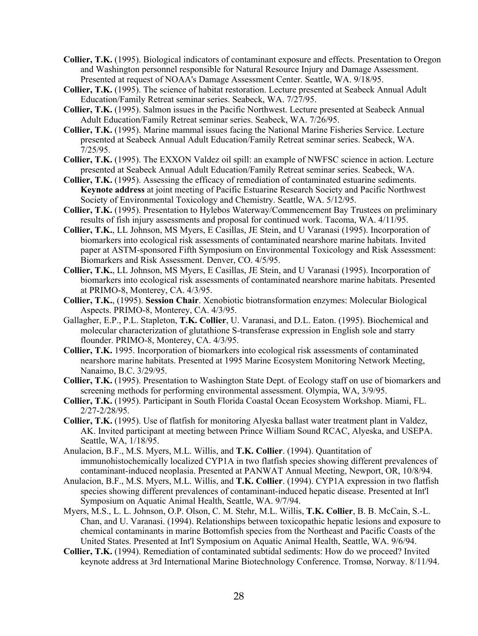- **Collier, T.K.** (1995). Biological indicators of contaminant exposure and effects. Presentation to Oregon and Washington personnel responsible for Natural Resource Injury and Damage Assessment. Presented at request of NOAA's Damage Assessment Center. Seattle, WA. 9/18/95.
- **Collier, T.K.** (1995). The science of habitat restoration. Lecture presented at Seabeck Annual Adult Education/Family Retreat seminar series. Seabeck, WA. 7/27/95.
- **Collier, T.K.** (1995). Salmon issues in the Pacific Northwest. Lecture presented at Seabeck Annual Adult Education/Family Retreat seminar series. Seabeck, WA. 7/26/95.
- **Collier, T.K.** (1995). Marine mammal issues facing the National Marine Fisheries Service. Lecture presented at Seabeck Annual Adult Education/Family Retreat seminar series. Seabeck, WA. 7/25/95.
- **Collier, T.K.** (1995). The EXXON Valdez oil spill: an example of NWFSC science in action. Lecture presented at Seabeck Annual Adult Education/Family Retreat seminar series. Seabeck, WA.
- **Collier, T.K.** (1995). Assessing the efficacy of remediation of contaminated estuarine sediments. **Keynote address** at joint meeting of Pacific Estuarine Research Society and Pacific Northwest Society of Environmental Toxicology and Chemistry. Seattle, WA. 5/12/95.
- **Collier, T.K.** (1995). Presentation to Hylebos Waterway/Commencement Bay Trustees on preliminary results of fish injury assessments and proposal for continued work. Tacoma, WA. 4/11/95.
- **Collier, T.K.**, LL Johnson, MS Myers, E Casillas, JE Stein, and U Varanasi (1995). Incorporation of biomarkers into ecological risk assessments of contaminated nearshore marine habitats. Invited paper at ASTM-sponsored Fifth Symposium on Environmental Toxicology and Risk Assessment: Biomarkers and Risk Assessment. Denver, CO. 4/5/95.
- **Collier, T.K.**, LL Johnson, MS Myers, E Casillas, JE Stein, and U Varanasi (1995). Incorporation of biomarkers into ecological risk assessments of contaminated nearshore marine habitats. Presented at PRIMO-8, Monterey, CA. 4/3/95.
- **Collier, T.K.**, (1995). **Session Chair**. Xenobiotic biotransformation enzymes: Molecular Biological Aspects. PRIMO-8, Monterey, CA. 4/3/95.
- Gallagher, E.P., P.L. Stapleton, **T.K. Collier**, U. Varanasi, and D.L. Eaton. (1995). Biochemical and molecular characterization of glutathione S-transferase expression in English sole and starry flounder. PRIMO-8, Monterey, CA. 4/3/95.
- **Collier, T.K.** 1995. Incorporation of biomarkers into ecological risk assessments of contaminated nearshore marine habitats. Presented at 1995 Marine Ecosystem Monitoring Network Meeting, Nanaimo, B.C. 3/29/95.
- **Collier, T.K.** (1995). Presentation to Washington State Dept. of Ecology staff on use of biomarkers and screening methods for performing environmental assessment. Olympia, WA, 3/9/95.
- **Collier, T.K.** (1995). Participant in South Florida Coastal Ocean Ecosystem Workshop. Miami, FL. 2/27-2/28/95.
- **Collier, T.K.** (1995). Use of flatfish for monitoring Alyeska ballast water treatment plant in Valdez, AK. Invited participant at meeting between Prince William Sound RCAC, Alyeska, and USEPA. Seattle, WA, 1/18/95.
- Anulacion, B.F., M.S. Myers, M.L. Willis, and **T.K. Collier**. (1994). Quantitation of immunohistochemically localized CYP1A in two flatfish species showing different prevalences of contaminant-induced neoplasia. Presented at PANWAT Annual Meeting, Newport, OR, 10/8/94.
- Anulacion, B.F., M.S. Myers, M.L. Willis, and **T.K. Collier**. (1994). CYP1A expression in two flatfish species showing different prevalences of contaminant-induced hepatic disease. Presented at Int'l Symposium on Aquatic Animal Health, Seattle, WA. 9/7/94.
- Myers, M.S., L. L. Johnson, O.P. Olson, C. M. Stehr, M.L. Willis, **T.K. Collier**, B. B. McCain, S.-L. Chan, and U. Varanasi. (1994). Relationships between toxicopathic hepatic lesions and exposure to chemical contaminants in marine Bottomfish species from the Northeast and Pacific Coasts of the United States. Presented at Int'l Symposium on Aquatic Animal Health, Seattle, WA. 9/6/94.
- **Collier, T.K.** (1994). Remediation of contaminated subtidal sediments: How do we proceed? Invited keynote address at 3rd International Marine Biotechnology Conference. Tromsø, Norway. 8/11/94.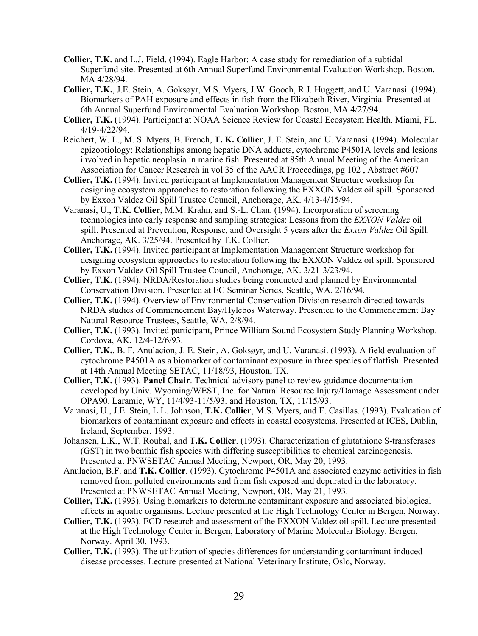- **Collier, T.K.** and L.J. Field. (1994). Eagle Harbor: A case study for remediation of a subtidal Superfund site. Presented at 6th Annual Superfund Environmental Evaluation Workshop. Boston, MA 4/28/94.
- **Collier, T.K.**, J.E. Stein, A. Goksøyr, M.S. Myers, J.W. Gooch, R.J. Huggett, and U. Varanasi. (1994). Biomarkers of PAH exposure and effects in fish from the Elizabeth River, Virginia. Presented at 6th Annual Superfund Environmental Evaluation Workshop. Boston, MA 4/27/94.
- **Collier, T.K.** (1994). Participant at NOAA Science Review for Coastal Ecosystem Health. Miami, FL. 4/19-4/22/94.
- Reichert, W. L., M. S. Myers, B. French, **T. K. Collier**, J. E. Stein, and U. Varanasi. (1994). Molecular epizootiology: Relationships among hepatic DNA adducts, cytochrome P4501A levels and lesions involved in hepatic neoplasia in marine fish. Presented at 85th Annual Meeting of the American Association for Cancer Research in vol 35 of the AACR Proceedings, pg 102 , Abstract #607
- **Collier, T.K.** (1994). Invited participant at Implementation Management Structure workshop for designing ecosystem approaches to restoration following the EXXON Valdez oil spill. Sponsored by Exxon Valdez Oil Spill Trustee Council, Anchorage, AK. 4/13-4/15/94.
- Varanasi, U., **T.K. Collier**, M.M. Krahn, and S.-L. Chan. (1994). Incorporation of screening technologies into early response and sampling strategies: Lessons from the *EXXON Valdez* oil spill. Presented at Prevention, Response, and Oversight 5 years after the *Exxon Valdez* Oil Spill. Anchorage, AK. 3/25/94. Presented by T.K. Collier.
- **Collier, T.K.** (1994). Invited participant at Implementation Management Structure workshop for designing ecosystem approaches to restoration following the EXXON Valdez oil spill. Sponsored by Exxon Valdez Oil Spill Trustee Council, Anchorage, AK. 3/21-3/23/94.
- **Collier, T.K.** (1994). NRDA/Restoration studies being conducted and planned by Environmental Conservation Division. Presented at EC Seminar Series, Seattle, WA. 2/16/94.
- **Collier, T.K.** (1994). Overview of Environmental Conservation Division research directed towards NRDA studies of Commencement Bay/Hylebos Waterway. Presented to the Commencement Bay Natural Resource Trustees, Seattle, WA. 2/8/94.
- **Collier, T.K.** (1993). Invited participant, Prince William Sound Ecosystem Study Planning Workshop. Cordova, AK. 12/4-12/6/93.
- **Collier, T.K.**, B. F. Anulacion, J. E. Stein, A. Goksøyr, and U. Varanasi. (1993). A field evaluation of cytochrome P4501A as a biomarker of contaminant exposure in three species of flatfish. Presented at 14th Annual Meeting SETAC, 11/18/93, Houston, TX.
- **Collier, T.K.** (1993). **Panel Chair**. Technical advisory panel to review guidance documentation developed by Univ. Wyoming/WEST, Inc. for Natural Resource Injury/Damage Assessment under OPA90. Laramie, WY, 11/4/93-11/5/93, and Houston, TX, 11/15/93.
- Varanasi, U., J.E. Stein, L.L. Johnson, **T.K. Collier**, M.S. Myers, and E. Casillas. (1993). Evaluation of biomarkers of contaminant exposure and effects in coastal ecosystems. Presented at ICES, Dublin, Ireland, September, 1993.
- Johansen, L.K., W.T. Roubal, and **T.K. Collier**. (1993). Characterization of glutathione S-transferases (GST) in two benthic fish species with differing susceptibilities to chemical carcinogenesis. Presented at PNWSETAC Annual Meeting, Newport, OR, May 20, 1993.
- Anulacion, B.F. and **T.K. Collier**. (1993). Cytochrome P4501A and associated enzyme activities in fish removed from polluted environments and from fish exposed and depurated in the laboratory. Presented at PNWSETAC Annual Meeting, Newport, OR, May 21, 1993.
- **Collier, T.K.** (1993). Using biomarkers to determine contaminant exposure and associated biological effects in aquatic organisms. Lecture presented at the High Technology Center in Bergen, Norway.
- **Collier, T.K.** (1993). ECD research and assessment of the EXXON Valdez oil spill. Lecture presented at the High Technology Center in Bergen, Laboratory of Marine Molecular Biology. Bergen, Norway. April 30, 1993.
- **Collier, T.K.** (1993). The utilization of species differences for understanding contaminant-induced disease processes. Lecture presented at National Veterinary Institute, Oslo, Norway.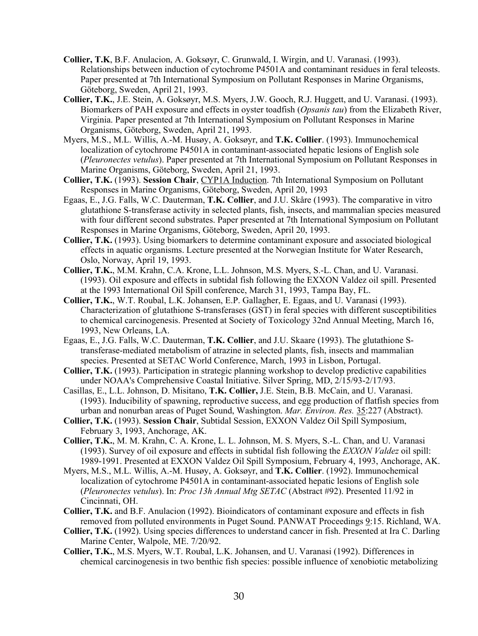- **Collier, T.K**, B.F. Anulacion, A. Goksøyr, C. Grunwald, I. Wirgin, and U. Varanasi. (1993). Relationships between induction of cytochrome P4501A and contaminant residues in feral teleosts. Paper presented at 7th International Symposium on Pollutant Responses in Marine Organisms, Göteborg, Sweden, April 21, 1993.
- **Collier, T.K.**, J.E. Stein, A. Goksøyr, M.S. Myers, J.W. Gooch, R.J. Huggett, and U. Varanasi. (1993). Biomarkers of PAH exposure and effects in oyster toadfish (*Opsanis tau*) from the Elizabeth River, Virginia. Paper presented at 7th International Symposium on Pollutant Responses in Marine Organisms, Göteborg, Sweden, April 21, 1993.
- Myers, M.S., M.L. Willis, A.-M. Husøy, A. Goksøyr, and **T.K. Collier**. (1993). Immunochemical localization of cytochrome P4501A in contaminant-associated hepatic lesions of English sole (*Pleuronectes vetulus*). Paper presented at 7th International Symposium on Pollutant Responses in Marine Organisms, Göteborg, Sweden, April 21, 1993.
- **Collier, T.K.** (1993). **Session Chair**, CYP1A Induction. 7th International Symposium on Pollutant Responses in Marine Organisms, Göteborg, Sweden, April 20, 1993
- Egaas, E., J.G. Falls, W.C. Dauterman, **T.K. Collier**, and J.U. Skåre (1993). The comparative in vitro glutathione S-transferase activity in selected plants, fish, insects, and mammalian species measured with four different second substrates. Paper presented at 7th International Symposium on Pollutant Responses in Marine Organisms, Göteborg, Sweden, April 20, 1993.
- **Collier, T.K.** (1993). Using biomarkers to determine contaminant exposure and associated biological effects in aquatic organisms. Lecture presented at the Norwegian Institute for Water Research, Oslo, Norway, April 19, 1993.
- **Collier, T.K.**, M.M. Krahn, C.A. Krone, L.L. Johnson, M.S. Myers, S.-L. Chan, and U. Varanasi. (1993). Oil exposure and effects in subtidal fish following the EXXON Valdez oil spill. Presented at the 1993 International Oil Spill conference, March 31, 1993, Tampa Bay, FL.
- **Collier, T.K.**, W.T. Roubal, L.K. Johansen, E.P. Gallagher, E. Egaas, and U. Varanasi (1993). Characterization of glutathione S-transferases (GST) in feral species with different susceptibilities to chemical carcinogenesis. Presented at Society of Toxicology 32nd Annual Meeting, March 16, 1993, New Orleans, LA.
- Egaas, E., J.G. Falls, W.C. Dauterman, **T.K. Collier**, and J.U. Skaare (1993). The glutathione Stransferase-mediated metabolism of atrazine in selected plants, fish, insects and mammalian species. Presented at SETAC World Conference, March, 1993 in Lisbon, Portugal.
- **Collier, T.K.** (1993). Participation in strategic planning workshop to develop predictive capabilities under NOAA's Comprehensive Coastal Initiative. Silver Spring, MD, 2/15/93-2/17/93.
- Casillas, E., L.L. Johnson, D. Misitano, **T.K. Collier,** J.E. Stein, B.B. McCain, and U. Varanasi. (1993). Inducibility of spawning, reproductive success, and egg production of flatfish species from urban and nonurban areas of Puget Sound, Washington. *Mar. Environ. Res.* 35:227 (Abstract).
- **Collier, T.K.** (1993). **Session Chair**, Subtidal Session, EXXON Valdez Oil Spill Symposium, February 3, 1993, Anchorage, AK.
- **Collier, T.K.**, M. M. Krahn, C. A. Krone, L. L. Johnson, M. S. Myers, S.-L. Chan, and U. Varanasi (1993). Survey of oil exposure and effects in subtidal fish following the *EXXON Valdez* oil spill: 1989-1991. Presented at EXXON Valdez Oil Spill Symposium, February 4, 1993, Anchorage, AK.
- Myers, M.S., M.L. Willis, A.-M. Husøy, A. Goksøyr, and **T.K. Collier**. (1992). Immunochemical localization of cytochrome P4501A in contaminant-associated hepatic lesions of English sole (*Pleuronectes vetulus*). In: *Proc 13h Annual Mtg SETAC* (Abstract #92). Presented 11/92 in Cincinnati, OH.
- **Collier, T.K.** and B.F. Anulacion (1992). Bioindicators of contaminant exposure and effects in fish removed from polluted environments in Puget Sound. PANWAT Proceedings 9:15. Richland, WA.
- **Collier, T.K.** (1992). Using species differences to understand cancer in fish. Presented at Ira C. Darling Marine Center, Walpole, ME. 7/20/92.
- **Collier, T.K.**, M.S. Myers, W.T. Roubal, L.K. Johansen, and U. Varanasi (1992). Differences in chemical carcinogenesis in two benthic fish species: possible influence of xenobiotic metabolizing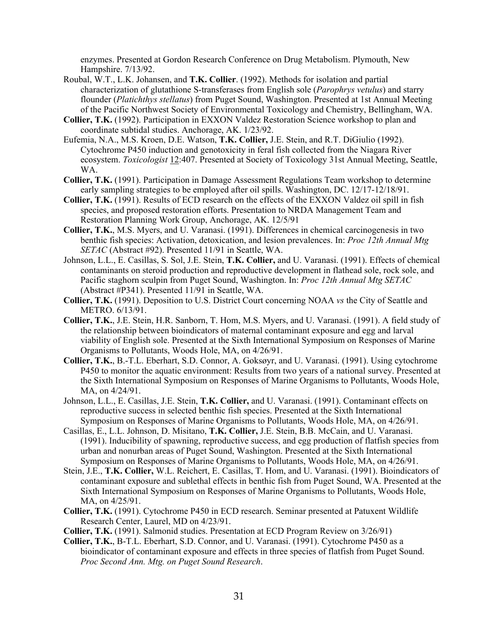enzymes. Presented at Gordon Research Conference on Drug Metabolism. Plymouth, New Hampshire. 7/13/92.

- Roubal, W.T., L.K. Johansen, and **T.K. Collier**. (1992). Methods for isolation and partial characterization of glutathione S-transferases from English sole (*Parophrys vetulus*) and starry flounder (*Platichthys stellatus*) from Puget Sound, Washington. Presented at 1st Annual Meeting of the Pacific Northwest Society of Environmental Toxicology and Chemistry, Bellingham, WA.
- **Collier, T.K.** (1992). Participation in EXXON Valdez Restoration Science workshop to plan and coordinate subtidal studies. Anchorage, AK. 1/23/92.
- Eufemia, N.A., M.S. Kroen, D.E. Watson, **T.K. Collier,** J.E. Stein, and R.T. DiGiulio (1992). Cytochrome P450 induction and genotoxicity in feral fish collected from the Niagara River ecosystem. *Toxicologist* 12:407. Presented at Society of Toxicology 31st Annual Meeting, Seattle, WA.
- **Collier, T.K.** (1991). Participation in Damage Assessment Regulations Team workshop to determine early sampling strategies to be employed after oil spills. Washington, DC. 12/17-12/18/91.
- **Collier, T.K.** (1991). Results of ECD research on the effects of the EXXON Valdez oil spill in fish species, and proposed restoration efforts. Presentation to NRDA Management Team and Restoration Planning Work Group, Anchorage, AK. 12/5/91
- **Collier, T.K.**, M.S. Myers, and U. Varanasi. (1991). Differences in chemical carcinogenesis in two benthic fish species: Activation, detoxication, and lesion prevalences. In: *Proc 12th Annual Mtg SETAC* (Abstract #92). Presented 11/91 in Seattle, WA.
- Johnson, L.L., E. Casillas, S. Sol, J.E. Stein, **T.K. Collier,** and U. Varanasi. (1991). Effects of chemical contaminants on steroid production and reproductive development in flathead sole, rock sole, and Pacific staghorn sculpin from Puget Sound, Washington. In: *Proc 12th Annual Mtg SETAC* (Abstract #P341). Presented 11/91 in Seattle, WA.
- **Collier, T.K.** (1991). Deposition to U.S. District Court concerning NOAA *vs* the City of Seattle and METRO. 6/13/91.
- **Collier, T.K.**, J.E. Stein, H.R. Sanborn, T. Hom, M.S. Myers, and U. Varanasi. (1991). A field study of the relationship between bioindicators of maternal contaminant exposure and egg and larval viability of English sole. Presented at the Sixth International Symposium on Responses of Marine Organisms to Pollutants, Woods Hole, MA, on 4/26/91.
- **Collier, T.K.**, B.-T.L. Eberhart, S.D. Connor, A. Goksøyr, and U. Varanasi. (1991). Using cytochrome P450 to monitor the aquatic environment: Results from two years of a national survey. Presented at the Sixth International Symposium on Responses of Marine Organisms to Pollutants, Woods Hole, MA, on 4/24/91.
- Johnson, L.L., E. Casillas, J.E. Stein, **T.K. Collier,** and U. Varanasi. (1991). Contaminant effects on reproductive success in selected benthic fish species. Presented at the Sixth International Symposium on Responses of Marine Organisms to Pollutants, Woods Hole, MA, on 4/26/91.
- Casillas, E., L.L. Johnson, D. Misitano, **T.K. Collier,** J.E. Stein, B.B. McCain, and U. Varanasi. (1991). Inducibility of spawning, reproductive success, and egg production of flatfish species from urban and nonurban areas of Puget Sound, Washington. Presented at the Sixth International Symposium on Responses of Marine Organisms to Pollutants, Woods Hole, MA, on 4/26/91.
- Stein, J.E., **T.K. Collier,** W.L. Reichert, E. Casillas, T. Hom, and U. Varanasi. (1991). Bioindicators of contaminant exposure and sublethal effects in benthic fish from Puget Sound, WA. Presented at the Sixth International Symposium on Responses of Marine Organisms to Pollutants, Woods Hole, MA, on 4/25/91.
- **Collier, T.K.** (1991). Cytochrome P450 in ECD research. Seminar presented at Patuxent Wildlife Research Center, Laurel, MD on 4/23/91.
- **Collier, T.K.** (1991). Salmonid studies. Presentation at ECD Program Review on 3/26/91)
- **Collier, T.K.**, B-T.L. Eberhart, S.D. Connor, and U. Varanasi. (1991). Cytochrome P450 as a bioindicator of contaminant exposure and effects in three species of flatfish from Puget Sound. *Proc Second Ann. Mtg. on Puget Sound Research*.